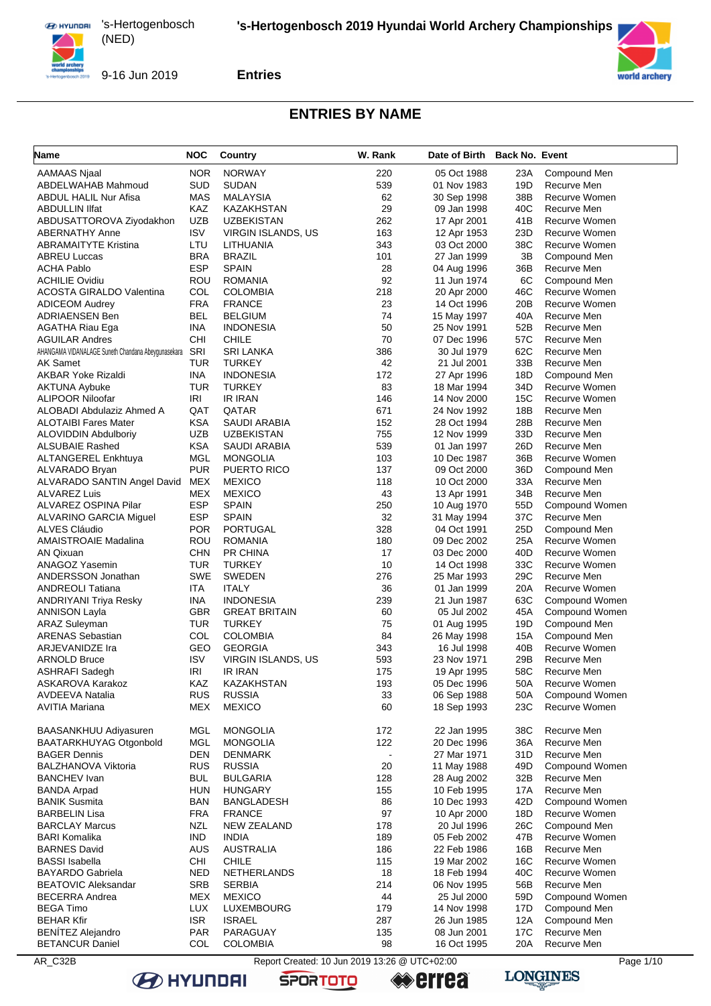

#### **Entries**



#### **ENTRIES BY NAME**

| Name                                               | <b>NOC</b> | Country              | W. Rank        | Date of Birth Back No. Event |                 |                |
|----------------------------------------------------|------------|----------------------|----------------|------------------------------|-----------------|----------------|
| <b>AAMAAS Njaal</b>                                | <b>NOR</b> | <b>NORWAY</b>        | 220            | 05 Oct 1988                  | 23A             | Compound Men   |
| ABDELWAHAB Mahmoud                                 | SUD        | <b>SUDAN</b>         | 539            | 01 Nov 1983                  | 19D             | Recurve Men    |
| ABDUL HALIL Nur Afisa                              | MAS        | MALAYSIA             | 62             | 30 Sep 1998                  | 38B             | Recurve Women  |
| ABDULLIN Ilfat                                     | KAZ        | <b>KAZAKHSTAN</b>    | 29             | 09 Jan 1998                  | 40C             | Recurve Men    |
| ABDUSATTOROVA Ziyodakhon                           | <b>UZB</b> | <b>UZBEKISTAN</b>    | 262            | 17 Apr 2001                  | 41B             | Recurve Women  |
| ABERNATHY Anne                                     | <b>ISV</b> | VIRGIN ISLANDS, US   | 163            | 12 Apr 1953                  | 23D             | Recurve Women  |
| <b>ABRAMAITYTE Kristina</b>                        | LTU        | LITHUANIA            | 343            | 03 Oct 2000                  | 38C             | Recurve Women  |
| ABREU Luccas                                       | <b>BRA</b> | <b>BRAZIL</b>        | 101            | 27 Jan 1999                  | 3B              | Compound Men   |
| <b>ACHA Pablo</b>                                  | <b>ESP</b> | <b>SPAIN</b>         | 28             | 04 Aug 1996                  | 36B             | Recurve Men    |
| <b>ACHILIE Ovidiu</b>                              | ROU        | <b>ROMANIA</b>       | 92             | 11 Jun 1974                  | 6C              | Compound Men   |
| ACOSTA GIRALDO Valentina                           | COL        | <b>COLOMBIA</b>      | 218            | 20 Apr 2000                  | 46C             | Recurve Women  |
| <b>ADICEOM Audrey</b>                              | <b>FRA</b> | <b>FRANCE</b>        | 23             | 14 Oct 1996                  | 20B             | Recurve Women  |
| <b>ADRIAENSEN Ben</b>                              | BEL        | <b>BELGIUM</b>       | 74             | 15 May 1997                  | 40A             | Recurve Men    |
| AGATHA Riau Ega                                    | <b>INA</b> | <b>INDONESIA</b>     | 50             | 25 Nov 1991                  | 52B             | Recurve Men    |
| <b>AGUILAR Andres</b>                              | CНI        | <b>CHILE</b>         | 70             | 07 Dec 1996                  | 57C             | Recurve Men    |
| AHANGAMA VIDANALAGE Suneth Chandana Abeygunasekara | SRI        | <b>SRI LANKA</b>     | 386            | 30 Jul 1979                  | 62C             | Recurve Men    |
| <b>AK Samet</b>                                    | TUR        | <b>TURKEY</b>        | 42             | 21 Jul 2001                  | 33B             | Recurve Men    |
| <b>AKBAR Yoke Rizaldi</b>                          | <b>INA</b> | <b>INDONESIA</b>     | 172            | 27 Apr 1996                  | 18D             | Compound Men   |
| <b>AKTUNA Aybuke</b>                               | TUR        | <b>TURKEY</b>        | 83             | 18 Mar 1994                  | 34D             | Recurve Women  |
| ALIPOOR Niloofar                                   | IRI        | IR IRAN              | 146            | 14 Nov 2000                  | 15C             | Recurve Women  |
| ALOBADI Abdulaziz Ahmed A                          | QAT        | QATAR                | 671            | 24 Nov 1992                  | 18B             | Recurve Men    |
| <b>ALOTAIBI Fares Mater</b>                        | <b>KSA</b> | SAUDI ARABIA         | 152            | 28 Oct 1994                  | 28B             | Recurve Men    |
| <b>ALOVIDDIN Abdulboriy</b>                        | <b>UZB</b> | <b>UZBEKISTAN</b>    | 755            | 12 Nov 1999                  | 33D             | Recurve Men    |
| <b>ALSUBAIE Rashed</b>                             | <b>KSA</b> | <b>SAUDI ARABIA</b>  | 539            | 01 Jan 1997                  | 26D             | Recurve Men    |
| <b>ALTANGEREL Enkhtuya</b>                         | MGL        | <b>MONGOLIA</b>      | 103            | 10 Dec 1987                  | 36B             | Recurve Women  |
| ALVARADO Bryan                                     | <b>PUR</b> | <b>PUERTO RICO</b>   | 137            | 09 Oct 2000                  | 36D             | Compound Men   |
| ALVARADO SANTIN Angel David                        | <b>MEX</b> | <b>MEXICO</b>        | 118            | 10 Oct 2000                  | 33A             | Recurve Men    |
| <b>ALVAREZ Luis</b>                                | MEX        | <b>MEXICO</b>        | 43             | 13 Apr 1991                  | 34B             | Recurve Men    |
| ALVAREZ OSPINA Pilar                               | <b>ESP</b> | <b>SPAIN</b>         | 250            | 10 Aug 1970                  | 55 <sub>D</sub> | Compound Women |
| ALVARINO GARCIA Miguel                             | <b>ESP</b> | <b>SPAIN</b>         | 32             | 31 May 1994                  | 37C             | Recurve Men    |
| ALVES Cláudio                                      | <b>POR</b> | PORTUGAL             | 328            | 04 Oct 1991                  | 25D             | Compound Men   |
| <b>AMAISTROAIE Madalina</b>                        | ROU        | <b>ROMANIA</b>       | 180            | 09 Dec 2002                  | 25A             | Recurve Women  |
| AN Qixuan                                          | CHN        | PR CHINA             | 17             | 03 Dec 2000                  | 40 <sub>D</sub> | Recurve Women  |
| <b>ANAGOZ Yasemin</b>                              | TUR        | <b>TURKEY</b>        | 10             | 14 Oct 1998                  | 33C             | Recurve Women  |
| ANDERSSON Jonathan                                 | SWE        | <b>SWEDEN</b>        | 276            | 25 Mar 1993                  | 29C             | Recurve Men    |
| ANDREOLI Tatiana                                   | ITA        | <b>ITALY</b>         | 36             | 01 Jan 1999                  | 20A             | Recurve Women  |
| <b>ANDRIYANI Triya Resky</b>                       | <b>INA</b> | <b>INDONESIA</b>     | 239            | 21 Jun 1987                  | 63C             | Compound Women |
| ANNISON Layla                                      | GBR        | <b>GREAT BRITAIN</b> | 60             | 05 Jul 2002                  | 45A             | Compound Women |
| <b>ARAZ Suleyman</b>                               | TUR        | <b>TURKEY</b>        | 75             | 01 Aug 1995                  | 19D             | Compound Men   |
| <b>ARENAS Sebastian</b>                            | COL        | <b>COLOMBIA</b>      | 84             | 26 May 1998                  | 15A             | Compound Men   |
| ARJEVANIDZE Ira                                    | GEO        | <b>GEORGIA</b>       | 343            | 16 Jul 1998                  | 40B             | Recurve Women  |
| <b>ARNOLD Bruce</b>                                | <b>ISV</b> | VIRGIN ISLANDS, US   | 593            | 23 Nov 1971                  | 29B             | Recurve Men    |
| <b>ASHRAFI Sadegh</b>                              | IRI        | <b>IR IRAN</b>       | 175            | 19 Apr 1995                  | 58C             | Recurve Men    |
| ASKAROVA Karakoz                                   | KAZ        | KAZAKHSTAN           | 193            | 05 Dec 1996                  | 50A             | Recurve Women  |
| <b>AVDEEVA Natalia</b>                             | <b>RUS</b> | <b>RUSSIA</b>        | 33             | 06 Sep 1988                  | 50A             | Compound Women |
| <b>AVITIA Mariana</b>                              | <b>MEX</b> | <b>MEXICO</b>        | 60             | 18 Sep 1993                  | 23C             | Recurve Women  |
| BAASANKHUU Adiyasuren                              | MGL        | <b>MONGOLIA</b>      | 172            | 22 Jan 1995                  | 38C             | Recurve Men    |
| <b>BAATARKHUYAG Otgonbold</b>                      | MGL        | <b>MONGOLIA</b>      | 122            | 20 Dec 1996                  | 36A             | Recurve Men    |
| <b>BAGER Dennis</b>                                | <b>DEN</b> | <b>DENMARK</b>       | $\blacksquare$ | 27 Mar 1971                  | 31D             | Recurve Men    |
| BALZHANOVA Viktoria                                | <b>RUS</b> | <b>RUSSIA</b>        | 20             | 11 May 1988                  | 49D             | Compound Women |
| BANCHEV Ivan                                       | BUL        | <b>BULGARIA</b>      | 128            | 28 Aug 2002                  | 32B             | Recurve Men    |
| <b>BANDA Arpad</b>                                 | <b>HUN</b> | <b>HUNGARY</b>       | 155            | 10 Feb 1995                  | 17A             | Recurve Men    |
| <b>BANIK Susmita</b>                               | BAN        | <b>BANGLADESH</b>    | 86             | 10 Dec 1993                  | 42D             | Compound Women |
| <b>BARBELIN Lisa</b>                               | <b>FRA</b> | <b>FRANCE</b>        | 97             | 10 Apr 2000                  | 18D             | Recurve Women  |
| <b>BARCLAY Marcus</b>                              | <b>NZL</b> | <b>NEW ZEALAND</b>   | 178            | 20 Jul 1996                  | 26C             | Compound Men   |
| BARI Komalika                                      | IND.       | <b>INDIA</b>         | 189            | 05 Feb 2002                  | 47B             | Recurve Women  |
| <b>BARNES David</b>                                | <b>AUS</b> | <b>AUSTRALIA</b>     | 186            | 22 Feb 1986                  | 16B             | Recurve Men    |
| <b>BASSI Isabella</b>                              | <b>CHI</b> | <b>CHILE</b>         | 115            | 19 Mar 2002                  | 16C             | Recurve Women  |
| <b>BAYARDO Gabriela</b>                            | NED        | NETHERLANDS          | 18             | 18 Feb 1994                  | 40C             | Recurve Women  |
| <b>BEATOVIC Aleksandar</b>                         | <b>SRB</b> | <b>SERBIA</b>        | 214            | 06 Nov 1995                  | 56B             | Recurve Men    |
| <b>BECERRA Andrea</b>                              | MEX        | <b>MEXICO</b>        | 44             | 25 Jul 2000                  | 59D             | Compound Women |
| <b>BEGA Timo</b>                                   | <b>LUX</b> | LUXEMBOURG           | 179            | 14 Nov 1998                  | 17D             | Compound Men   |
| <b>BEHAR Kfir</b>                                  | <b>ISR</b> | <b>ISRAEL</b>        | 287            | 26 Jun 1985                  | 12A             | Compound Men   |
| <b>BENÍTEZ Alejandro</b>                           | <b>PAR</b> | PARAGUAY             | 135            | 08 Jun 2001                  | 17C             | Recurve Men    |
| <b>BETANCUR Daniel</b>                             | COL        | <b>COLOMBIA</b>      | 98             | 16 Oct 1995                  | 20A             | Recurve Men    |

AR\_C32B Report Created: 10 Jun 2019 13:26 @ UTC+02:00 Page 1/10



**errea** 

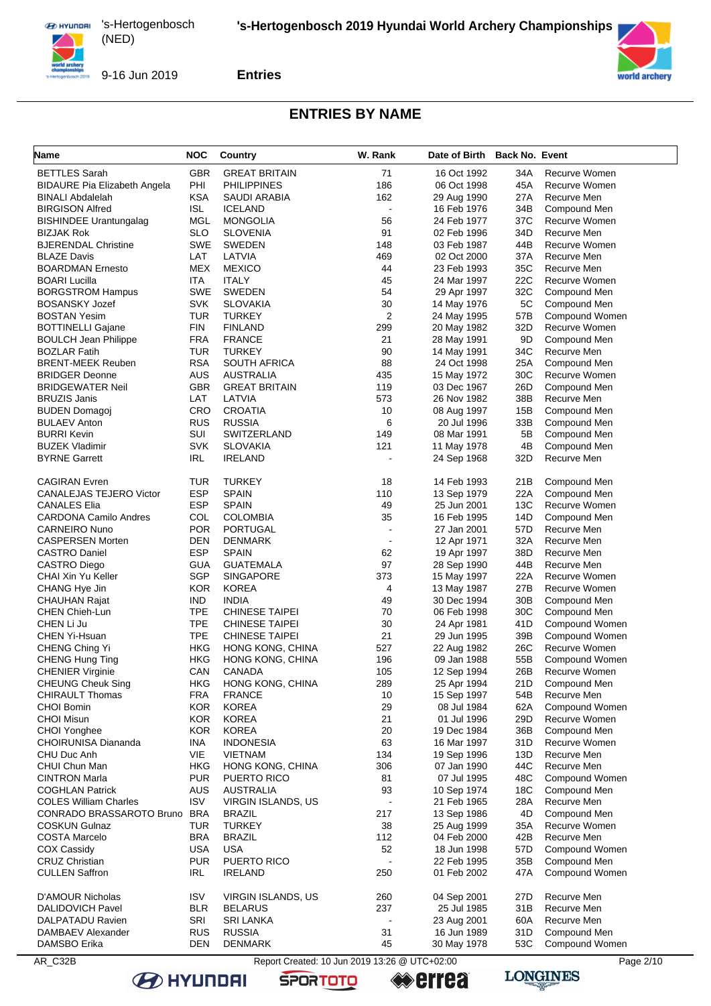

9-16 Jun 2019

**Entries**



## **ENTRIES BY NAME**

| Name                                            | <b>NOC</b>               | Country                               | W. Rank                                       | Date of Birth Back No. Event |                        |                                |
|-------------------------------------------------|--------------------------|---------------------------------------|-----------------------------------------------|------------------------------|------------------------|--------------------------------|
| <b>BETTLES</b> Sarah                            | <b>GBR</b>               | <b>GREAT BRITAIN</b>                  | 71                                            | 16 Oct 1992                  | 34A                    | Recurve Women                  |
| <b>BIDAURE Pia Elizabeth Angela</b>             | PHI                      | <b>PHILIPPINES</b>                    | 186                                           | 06 Oct 1998                  | 45A                    | Recurve Women                  |
| <b>BINALI Abdalelah</b>                         | <b>KSA</b>               | SAUDI ARABIA                          | 162                                           | 29 Aug 1990                  | 27A                    | Recurve Men                    |
| <b>BIRGISON Alfred</b>                          | <b>ISL</b>               | <b>ICELAND</b>                        | $\blacksquare$                                | 16 Feb 1976                  | 34B                    | Compound Men                   |
| <b>BISHINDEE Urantungalag</b>                   | MGL                      | <b>MONGOLIA</b>                       | 56                                            | 24 Feb 1977                  | 37C                    | Recurve Women                  |
| <b>BIZJAK Rok</b>                               | SLO                      | <b>SLOVENIA</b>                       | 91                                            | 02 Feb 1996                  | 34D                    | Recurve Men                    |
| <b>BJERENDAL Christine</b>                      | SWE                      | <b>SWEDEN</b>                         | 148                                           | 03 Feb 1987                  | 44B                    | Recurve Women                  |
| <b>BLAZE Davis</b>                              | LAT                      | LATVIA                                | 469                                           | 02 Oct 2000                  | 37A                    | Recurve Men                    |
| <b>BOARDMAN Ernesto</b><br><b>BOARI Lucilla</b> | MEX<br>ITA               | <b>MEXICO</b><br><b>ITALY</b>         | 44<br>45                                      | 23 Feb 1993<br>24 Mar 1997   | 35C<br>22C             | Recurve Men<br>Recurve Women   |
| <b>BORGSTROM Hampus</b>                         | SWE                      | <b>SWEDEN</b>                         | 54                                            | 29 Apr 1997                  | 32C                    | Compound Men                   |
| <b>BOSANSKY Jozef</b>                           | <b>SVK</b>               | <b>SLOVAKIA</b>                       | 30                                            | 14 May 1976                  | 5C                     | Compound Men                   |
| <b>BOSTAN Yesim</b>                             | TUR                      | <b>TURKEY</b>                         | $\overline{2}$                                | 24 May 1995                  | 57B                    | Compound Women                 |
| <b>BOTTINELLI Gajane</b>                        | <b>FIN</b>               | <b>FINLAND</b>                        | 299                                           | 20 May 1982                  | 32D                    | Recurve Women                  |
| <b>BOULCH Jean Philippe</b>                     | <b>FRA</b>               | <b>FRANCE</b>                         | 21                                            | 28 May 1991                  | 9D                     | Compound Men                   |
| <b>BOZLAR Fatih</b>                             | <b>TUR</b>               | <b>TURKEY</b>                         | 90                                            | 14 May 1991                  | 34C                    | Recurve Men                    |
| <b>BRENT-MEEK Reuben</b>                        | <b>RSA</b>               | <b>SOUTH AFRICA</b>                   | 88                                            | 24 Oct 1998                  | 25A                    | Compound Men                   |
| <b>BRIDGER Deonne</b>                           | AUS                      | AUSTRALIA                             | 435                                           | 15 May 1972                  | 30C                    | Recurve Women                  |
| <b>BRIDGEWATER Neil</b>                         | <b>GBR</b>               | <b>GREAT BRITAIN</b>                  | 119                                           | 03 Dec 1967                  | 26D                    | Compound Men                   |
| <b>BRUZIS Janis</b>                             | LAT                      | LATVIA                                | 573                                           | 26 Nov 1982                  | 38B                    | Recurve Men                    |
| <b>BUDEN Domagoj</b>                            | <b>CRO</b>               | <b>CROATIA</b>                        | 10                                            | 08 Aug 1997                  | 15B                    | Compound Men                   |
| <b>BULAEV Anton</b>                             | <b>RUS</b>               | <b>RUSSIA</b>                         | 6                                             | 20 Jul 1996                  | 33B                    | Compound Men                   |
| <b>BURRI Kevin</b>                              | <b>SUI</b>               | SWITZERLAND                           | 149                                           | 08 Mar 1991                  | 5B                     | Compound Men                   |
| <b>BUZEK Vladimir</b>                           | <b>SVK</b>               | <b>SLOVAKIA</b>                       | 121                                           | 11 May 1978                  | 4B                     | Compound Men                   |
| <b>BYRNE Garrett</b>                            | IRL                      | <b>IRELAND</b>                        | $\overline{a}$                                | 24 Sep 1968                  | 32D                    | Recurve Men                    |
| <b>CAGIRAN Evren</b>                            | <b>TUR</b>               | <b>TURKEY</b>                         | 18                                            | 14 Feb 1993                  | 21B                    | Compound Men                   |
| <b>CANALEJAS TEJERO Victor</b>                  | <b>ESP</b>               | <b>SPAIN</b>                          | 110                                           | 13 Sep 1979                  | 22A                    | Compound Men                   |
| <b>CANALES Elia</b>                             | <b>ESP</b>               | <b>SPAIN</b>                          | 49                                            | 25 Jun 2001                  | 13C                    | Recurve Women                  |
| <b>CARDONA Camilo Andres</b>                    | COL                      | <b>COLOMBIA</b>                       | 35                                            | 16 Feb 1995                  | 14D                    | Compound Men                   |
| <b>CARNEIRO Nuno</b>                            | <b>POR</b>               | PORTUGAL                              | $\overline{\phantom{a}}$                      | 27 Jan 2001                  | 57D                    | Recurve Men                    |
| <b>CASPERSEN Morten</b>                         | DEN                      | <b>DENMARK</b>                        | $\overline{a}$                                | 12 Apr 1971                  | 32A                    | Recurve Men                    |
| <b>CASTRO Daniel</b>                            | <b>ESP</b>               | <b>SPAIN</b>                          | 62                                            | 19 Apr 1997                  | 38D                    | Recurve Men                    |
| CASTRO Diego                                    | GUA                      | <b>GUATEMALA</b>                      | 97                                            | 28 Sep 1990                  | 44B                    | Recurve Men                    |
| CHAI Xin Yu Keller                              | <b>SGP</b>               | <b>SINGAPORE</b>                      | 373                                           | 15 May 1997                  | 22A                    | Recurve Women                  |
| CHANG Hye Jin                                   | <b>KOR</b>               | <b>KOREA</b>                          | 4<br>49                                       | 13 May 1987                  | 27B<br>30 <sub>B</sub> | Recurve Women                  |
| CHAUHAN Rajat                                   | <b>IND</b><br><b>TPE</b> | <b>INDIA</b><br><b>CHINESE TAIPEI</b> | 70                                            | 30 Dec 1994<br>06 Feb 1998   | 30C                    | Compound Men<br>Compound Men   |
| <b>CHEN Chieh-Lun</b><br>CHEN Li Ju             | <b>TPE</b>               | <b>CHINESE TAIPEI</b>                 | 30                                            | 24 Apr 1981                  | 41D                    | Compound Women                 |
| CHEN Yi-Hsuan                                   | <b>TPE</b>               | <b>CHINESE TAIPEI</b>                 | 21                                            | 29 Jun 1995                  | 39B                    | Compound Women                 |
| CHENG Ching Yi                                  | <b>HKG</b>               | HONG KONG, CHINA                      | 527                                           | 22 Aug 1982                  | 26C                    | Recurve Women                  |
| CHENG Hung Ting                                 | <b>HKG</b>               | HONG KONG, CHINA                      | 196                                           | 09 Jan 1988                  | 55B                    | <b>Compound Women</b>          |
| <b>CHENIER Virginie</b>                         | CAN                      | <b>CANADA</b>                         | 105                                           | 12 Sep 1994                  | 26B                    | Recurve Women                  |
| <b>CHEUNG Cheuk Sing</b>                        | HKG                      | HONG KONG, CHINA                      | 289                                           | 25 Apr 1994                  | 21D                    | Compound Men                   |
| <b>CHIRAULT Thomas</b>                          | <b>FRA</b>               | <b>FRANCE</b>                         | 10                                            | 15 Sep 1997                  | 54B                    | Recurve Men                    |
| <b>CHOI Bomin</b>                               | <b>KOR</b>               | <b>KOREA</b>                          | 29                                            | 08 Jul 1984                  | 62A                    | Compound Women                 |
| <b>CHOI Misun</b>                               | <b>KOR</b>               | <b>KOREA</b>                          | 21                                            | 01 Jul 1996                  | 29D                    | Recurve Women                  |
| CHOI Yonghee                                    | <b>KOR</b>               | <b>KOREA</b>                          | 20                                            | 19 Dec 1984                  | 36B                    | Compound Men                   |
| <b>CHOIRUNISA Diananda</b>                      | INA                      | <b>INDONESIA</b>                      | 63                                            | 16 Mar 1997                  | 31D                    | Recurve Women                  |
| CHU Duc Anh                                     | VIE                      | <b>VIETNAM</b>                        | 134                                           | 19 Sep 1996                  | 13D                    | Recurve Men                    |
| CHUI Chun Man                                   | HKG                      | HONG KONG, CHINA                      | 306                                           | 07 Jan 1990                  | 44C                    | Recurve Men                    |
| <b>CINTRON Marla</b>                            | <b>PUR</b>               | PUERTO RICO                           | 81                                            | 07 Jul 1995                  | 48C                    | Compound Women                 |
| <b>COGHLAN Patrick</b>                          | <b>AUS</b>               | AUSTRALIA                             | 93                                            | 10 Sep 1974                  | 18C                    | Compound Men                   |
| <b>COLES William Charles</b>                    | <b>ISV</b>               | VIRGIN ISLANDS, US                    | $\overline{a}$                                | 21 Feb 1965                  | 28A                    | Recurve Men                    |
| CONRADO BRASSAROTO Bruno                        | <b>BRA</b>               | <b>BRAZIL</b>                         | 217                                           | 13 Sep 1986                  | 4D                     | Compound Men                   |
| <b>COSKUN Gulnaz</b>                            | TUR                      | <b>TURKEY</b>                         | 38                                            | 25 Aug 1999                  | 35A                    | Recurve Women                  |
| COSTA Marcelo                                   | <b>BRA</b>               | <b>BRAZIL</b>                         | 112<br>52                                     | 04 Feb 2000                  | 42B                    | Recurve Men                    |
| COX Cassidy<br><b>CRUZ Christian</b>            | USA<br><b>PUR</b>        | <b>USA</b><br>PUERTO RICO             |                                               | 18 Jun 1998<br>22 Feb 1995   | 57D<br>35B             | Compound Women<br>Compound Men |
| <b>CULLEN Saffron</b>                           | IRL                      | <b>IRELAND</b>                        | 250                                           | 01 Feb 2002                  | 47A                    | Compound Women                 |
|                                                 |                          |                                       |                                               |                              |                        |                                |
| D'AMOUR Nicholas                                | <b>ISV</b>               | VIRGIN ISLANDS, US                    | 260                                           | 04 Sep 2001                  | 27D                    | Recurve Men                    |
| <b>DALIDOVICH Pavel</b>                         | <b>BLR</b>               | <b>BELARUS</b>                        | 237<br>$\ddot{\phantom{a}}$                   | 25 Jul 1985                  | 31B                    | Recurve Men                    |
| DALPATADU Ravien<br>DAMBAEV Alexander           | <b>SRI</b><br><b>RUS</b> | <b>SRI LANKA</b><br><b>RUSSIA</b>     | 31                                            | 23 Aug 2001<br>16 Jun 1989   | 60A<br>31D             | Recurve Men<br>Compound Men    |
| DAMSBO Erika                                    | DEN                      | <b>DENMARK</b>                        | 45                                            | 30 May 1978                  | 53C                    | Compound Women                 |
|                                                 |                          |                                       |                                               |                              |                        |                                |
| AR_C32B                                         |                          |                                       | Report Created: 10 Jun 2019 13:26 @ UTC+02:00 |                              |                        | Page 2/10                      |

**SPORTOTO B** HYUNDAI

**errea** 

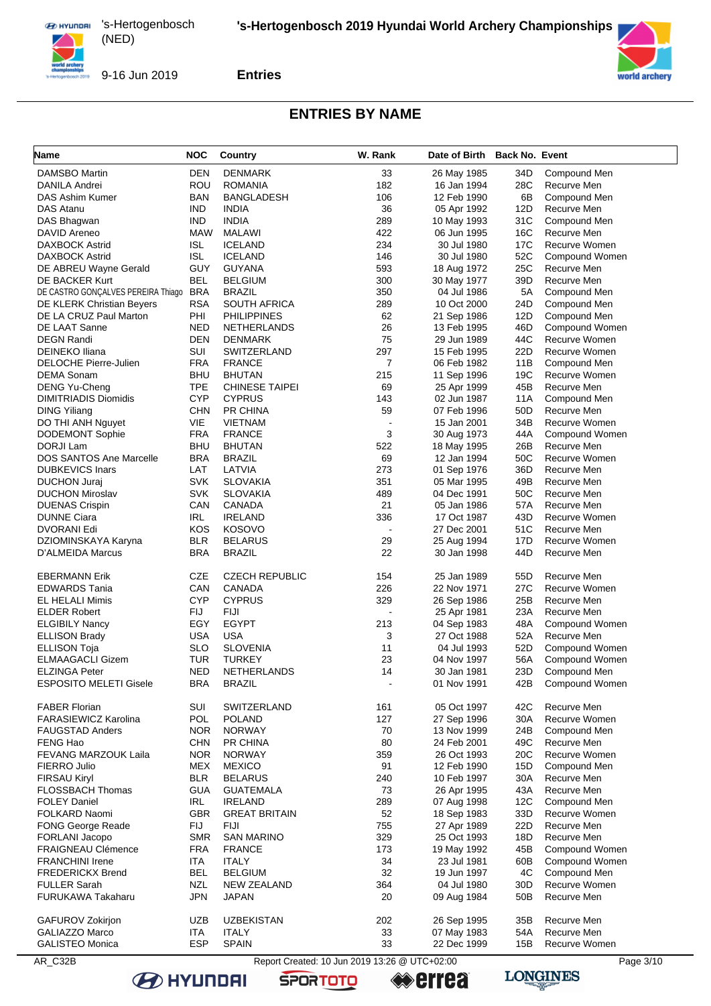





### **ENTRIES BY NAME**

| Name                               | <b>NOC</b> | Country               | W. Rank                                       | Date of Birth | <b>Back No. Event</b> |                |
|------------------------------------|------------|-----------------------|-----------------------------------------------|---------------|-----------------------|----------------|
| <b>DAMSBO Martin</b>               | <b>DEN</b> | <b>DENMARK</b>        | 33                                            | 26 May 1985   | 34D                   | Compound Men   |
| DANILA Andrei                      | ROU        | <b>ROMANIA</b>        | 182                                           | 16 Jan 1994   | 28C                   | Recurve Men    |
| DAS Ashim Kumer                    | <b>BAN</b> | <b>BANGLADESH</b>     | 106                                           | 12 Feb 1990   | 6B                    | Compound Men   |
| <b>DAS Atanu</b>                   | <b>IND</b> | <b>INDIA</b>          | 36                                            | 05 Apr 1992   | 12D                   | Recurve Men    |
| DAS Bhagwan                        | <b>IND</b> | <b>INDIA</b>          | 289                                           | 10 May 1993   | 31C                   | Compound Men   |
| DAVID Areneo                       | MAW        | <b>MALAWI</b>         | 422                                           | 06 Jun 1995   | 16C                   | Recurve Men    |
| <b>DAXBOCK Astrid</b>              | ISL        | <b>ICELAND</b>        | 234                                           | 30 Jul 1980   | 17C                   | Recurve Women  |
| DAXBOCK Astrid                     | ISL        | <b>ICELAND</b>        | 146                                           | 30 Jul 1980   | 52C                   | Compound Women |
| DE ABREU Wayne Gerald              | GUY        | GUYANA                | 593                                           | 18 Aug 1972   | 25C                   | Recurve Men    |
| DE BACKER Kurt                     | BEL        | <b>BELGIUM</b>        | 300                                           | 30 May 1977   | 39D                   | Recurve Men    |
| DE CASTRO GONÇALVES PEREIRA Thiago | <b>BRA</b> | <b>BRAZIL</b>         | 350                                           | 04 Jul 1986   | 5A                    | Compound Men   |
| <b>DE KLERK Christian Beyers</b>   | <b>RSA</b> | SOUTH AFRICA          | 289                                           | 10 Oct 2000   | 24D                   | Compound Men   |
| DE LA CRUZ Paul Marton             | PHI        | <b>PHILIPPINES</b>    | 62                                            | 21 Sep 1986   | 12D                   | Compound Men   |
| DE LAAT Sanne                      | <b>NED</b> | <b>NETHERLANDS</b>    | 26                                            | 13 Feb 1995   | 46D                   | Compound Women |
| <b>DEGN Randi</b>                  | <b>DEN</b> | <b>DENMARK</b>        | 75                                            | 29 Jun 1989   | 44C                   | Recurve Women  |
| <b>DEINEKO Iliana</b>              | SUI        | SWITZERLAND           | 297                                           | 15 Feb 1995   | 22D                   | Recurve Women  |
| <b>DELOCHE Pierre-Julien</b>       | <b>FRA</b> | <b>FRANCE</b>         | $\overline{7}$                                | 06 Feb 1982   | 11B                   | Compound Men   |
| <b>DEMA Sonam</b>                  | <b>BHU</b> | <b>BHUTAN</b>         | 215                                           | 11 Sep 1996   | 19C                   | Recurve Women  |
| <b>DENG Yu-Cheng</b>               | <b>TPE</b> | <b>CHINESE TAIPEI</b> | 69                                            | 25 Apr 1999   | 45B                   | Recurve Men    |
| <b>DIMITRIADIS Diomidis</b>        | <b>CYP</b> | <b>CYPRUS</b>         | 143                                           | 02 Jun 1987   | 11A                   | Compound Men   |
| <b>DING Yiliang</b>                | <b>CHN</b> | PR CHINA              | 59                                            | 07 Feb 1996   | 50 <sub>D</sub>       | Recurve Men    |
| DO THI ANH Nguyet                  | VIE        | <b>VIETNAM</b>        |                                               | 15 Jan 2001   | 34B                   | Recurve Women  |
| <b>DODEMONT Sophie</b>             | <b>FRA</b> | <b>FRANCE</b>         | 3                                             | 30 Aug 1973   | 44A                   | Compound Women |
| DORJI Lam                          | <b>BHU</b> | <b>BHUTAN</b>         | 522                                           | 18 May 1995   | 26B                   | Recurve Men    |
| DOS SANTOS Ane Marcelle            | <b>BRA</b> | <b>BRAZIL</b>         | 69                                            | 12 Jan 1994   | 50C                   | Recurve Women  |
| <b>DUBKEVICS Inars</b>             | LAT        | LATVIA                | 273                                           | 01 Sep 1976   | 36D                   | Recurve Men    |
| <b>DUCHON Juraj</b>                | <b>SVK</b> | <b>SLOVAKIA</b>       | 351                                           | 05 Mar 1995   | 49B                   | Recurve Men    |
| <b>DUCHON Miroslav</b>             | <b>SVK</b> | <b>SLOVAKIA</b>       | 489                                           | 04 Dec 1991   | 50C                   | Recurve Men    |
| <b>DUENAS Crispin</b>              | CAN        | CANADA                | 21                                            | 05 Jan 1986   | 57A                   | Recurve Men    |
| <b>DUNNE Ciara</b>                 | IRL        | <b>IRELAND</b>        | 336                                           | 17 Oct 1987   | 43D                   | Recurve Women  |
| DVORANI Edi                        | KOS        | <b>KOSOVO</b>         | $\blacksquare$                                | 27 Dec 2001   | 51C                   | Recurve Men    |
| DZIOMINSKAYA Karyna                | <b>BLR</b> | <b>BELARUS</b>        | 29                                            | 25 Aug 1994   | 17D                   | Recurve Women  |
| D'ALMEIDA Marcus                   | <b>BRA</b> | <b>BRAZIL</b>         | 22                                            | 30 Jan 1998   | 44D                   | Recurve Men    |
| <b>EBERMANN Erik</b>               | CZE        | <b>CZECH REPUBLIC</b> | 154                                           | 25 Jan 1989   | 55 <sub>D</sub>       | Recurve Men    |
| <b>EDWARDS Tania</b>               | CAN        | <b>CANADA</b>         | 226                                           | 22 Nov 1971   | 27C                   | Recurve Women  |
| <b>EL HELALI Mimis</b>             | <b>CYP</b> | <b>CYPRUS</b>         | 329                                           | 26 Sep 1986   | 25B                   | Recurve Men    |
| <b>ELDER Robert</b>                | FIJ        | <b>FIJI</b>           |                                               | 25 Apr 1981   | 23A                   | Recurve Men    |
| <b>ELGIBILY Nancy</b>              | EGY        | <b>EGYPT</b>          | 213                                           | 04 Sep 1983   | 48A                   | Compound Women |
| <b>ELLISON Brady</b>               | <b>USA</b> | <b>USA</b>            | 3                                             | 27 Oct 1988   | 52A                   | Recurve Men    |
| <b>ELLISON Toja</b>                | <b>SLO</b> | <b>SLOVENIA</b>       | 11                                            | 04 Jul 1993   | 52D                   | Compound Women |
| <b>ELMAAGACLI Gizem</b>            | TUR        | <b>TURKEY</b>         | 23                                            | 04 Nov 1997   | 56A                   | Compound Women |
| <b>ELZINGA Peter</b>               | <b>NED</b> | <b>NETHERLANDS</b>    | 14                                            | 30 Jan 1981   | 23D                   | Compound Men   |
| <b>ESPOSITO MELETI Gisele</b>      | <b>BRA</b> | <b>BRAZIL</b>         |                                               | 01 Nov 1991   | 42B                   | Compound Women |
| <b>FABER Florian</b>               | SUI        | SWITZERLAND           | 161                                           | 05 Oct 1997   | 42C                   | Recurve Men    |
| <b>FARASIEWICZ Karolina</b>        | POL        | <b>POLAND</b>         | 127                                           | 27 Sep 1996   | 30A                   | Recurve Women  |
| <b>FAUGSTAD Anders</b>             | <b>NOR</b> | <b>NORWAY</b>         | 70                                            | 13 Nov 1999   | 24B                   | Compound Men   |
| FENG Hao                           | <b>CHN</b> | <b>PR CHINA</b>       | 80                                            | 24 Feb 2001   | 49C                   | Recurve Men    |
| <b>FEVANG MARZOUK Laila</b>        | <b>NOR</b> | <b>NORWAY</b>         | 359                                           | 26 Oct 1993   | 20 <sub>C</sub>       | Recurve Women  |
| FIERRO Julio                       | MEX        | <b>MEXICO</b>         | 91                                            | 12 Feb 1990   | 15D                   | Compound Men   |
| <b>FIRSAU Kiryl</b>                | <b>BLR</b> | <b>BELARUS</b>        | 240                                           | 10 Feb 1997   | 30A                   | Recurve Men    |
| <b>FLOSSBACH Thomas</b>            | <b>GUA</b> | <b>GUATEMALA</b>      | 73                                            | 26 Apr 1995   | 43A                   | Recurve Men    |
| <b>FOLEY Daniel</b>                | <b>IRL</b> | <b>IRELAND</b>        | 289                                           | 07 Aug 1998   | 12C                   | Compound Men   |
| FOLKARD Naomi                      | <b>GBR</b> | <b>GREAT BRITAIN</b>  | 52                                            | 18 Sep 1983   | 33D                   | Recurve Women  |
| <b>FONG George Reade</b>           | <b>FIJ</b> | FIJI                  | 755                                           | 27 Apr 1989   | 22D                   | Recurve Men    |
| FORLANI Jacopo                     | <b>SMR</b> | <b>SAN MARINO</b>     | 329                                           | 25 Oct 1993   | 18D                   | Recurve Men    |
| <b>FRAIGNEAU Clémence</b>          | <b>FRA</b> | <b>FRANCE</b>         | 173                                           | 19 May 1992   | 45B                   | Compound Women |
| <b>FRANCHINI Irene</b>             | <b>ITA</b> | <b>ITALY</b>          | 34                                            | 23 Jul 1981   | 60B                   | Compound Women |
| <b>FREDERICKX Brend</b>            | <b>BEL</b> | <b>BELGIUM</b>        | 32                                            | 19 Jun 1997   | 4C                    | Compound Men   |
| <b>FULLER Sarah</b>                | NZL        | NEW ZEALAND           | 364                                           | 04 Jul 1980   | 30D                   | Recurve Women  |
| FURUKAWA Takaharu                  | <b>JPN</b> | <b>JAPAN</b>          | 20                                            | 09 Aug 1984   | 50 <sub>B</sub>       | Recurve Men    |
| GAFUROV Zokirjon                   | UZB        | <b>UZBEKISTAN</b>     | 202                                           | 26 Sep 1995   | 35B                   | Recurve Men    |
| GALIAZZO Marco                     | ITA        | <b>ITALY</b>          | 33                                            | 07 May 1983   | 54A                   | Recurve Men    |
| <b>GALISTEO Monica</b>             | <b>ESP</b> | <b>SPAIN</b>          | 33                                            | 22 Dec 1999   | 15B                   | Recurve Women  |
| AR_C32B                            |            |                       | Report Created: 10 Jun 2019 13:26 @ UTC+02:00 |               |                       | Page 3/10      |

**SPORTOTO** 



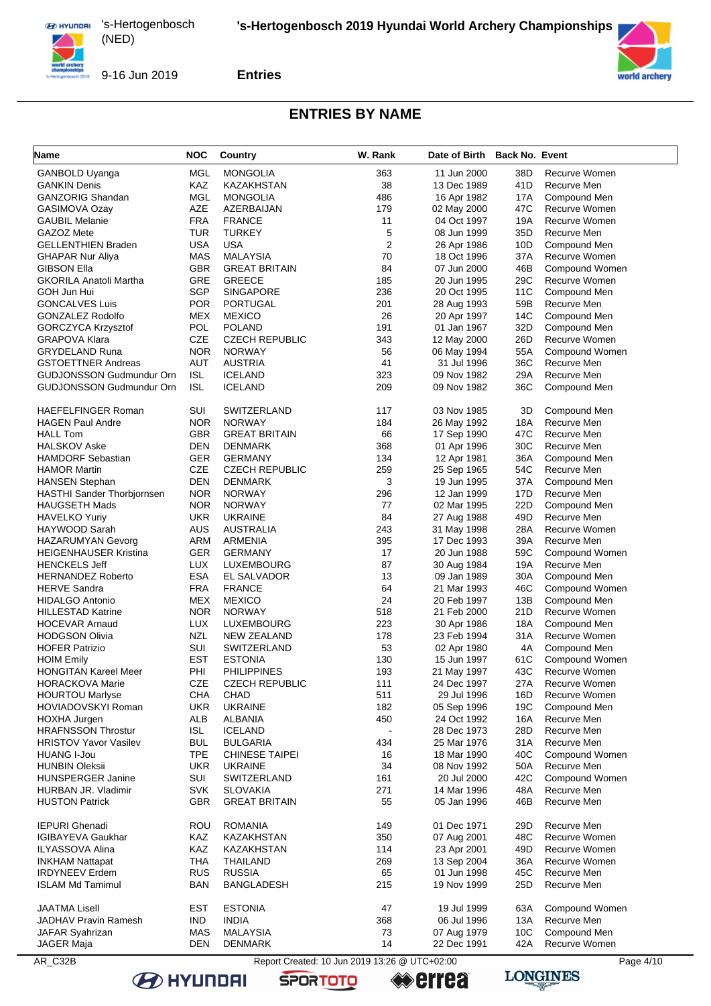

9-16 Jun 2019

**Entries**

#### **ENTRIES BY NAME**

| Name                                            | NOC               | Country                      | W. Rank                                       | Date of Birth              | <b>Back No. Event</b> |                                |
|-------------------------------------------------|-------------------|------------------------------|-----------------------------------------------|----------------------------|-----------------------|--------------------------------|
| <b>GANBOLD Uyanga</b>                           | MGL               | <b>MONGOLIA</b>              | 363                                           | 11 Jun 2000                | 38D                   | Recurve Women                  |
| <b>GANKIN Denis</b>                             | <b>KAZ</b>        | KAZAKHSTAN                   | 38                                            | 13 Dec 1989                | 41D                   | Recurve Men                    |
| GANZORIG Shandan                                | MGL               | <b>MONGOLIA</b>              | 486                                           | 16 Apr 1982                | 17A                   | Compound Men                   |
| <b>GASIMOVA Ozay</b>                            | <b>AZE</b>        | AZERBAIJAN                   | 179                                           | 02 May 2000                | 47C                   | Recurve Women                  |
| <b>GAUBIL Melanie</b>                           | <b>FRA</b>        | <b>FRANCE</b>                | 11                                            | 04 Oct 1997                | 19A                   | Recurve Women                  |
| GAZOZ Mete                                      | <b>TUR</b>        | <b>TURKEY</b>                | 5                                             | 08 Jun 1999                | 35D                   | Recurve Men                    |
| <b>GELLENTHIEN Braden</b>                       | <b>USA</b>        | USA                          | 2                                             | 26 Apr 1986                | 10D                   | Compound Men                   |
| GHAPAR Nur Aliya                                | MAS               | <b>MALAYSIA</b>              | 70                                            | 18 Oct 1996                | 37A                   | Recurve Women                  |
| GIBSON Ella                                     | <b>GBR</b>        | <b>GREAT BRITAIN</b>         | 84                                            | 07 Jun 2000                | 46B                   | Compound Women                 |
| <b>GKORILA Anatoli Martha</b>                   | GRE               | <b>GREECE</b>                | 185                                           | 20 Jun 1995                | 29C                   | Recurve Women                  |
| GOH Jun Hui                                     | <b>SGP</b>        | <b>SINGAPORE</b>             | 236                                           | 20 Oct 1995                | 11C                   | Compound Men                   |
| <b>GONCALVES Luis</b>                           | <b>POR</b>        | PORTUGAL                     | 201                                           | 28 Aug 1993                | 59B                   | Recurve Men                    |
| GONZALEZ Rodolfo                                | MEX               | <b>MEXICO</b>                | 26                                            | 20 Apr 1997                | 14C                   | Compound Men                   |
| GORCZYCA Krzysztof                              | <b>POL</b>        | <b>POLAND</b>                | 191                                           | 01 Jan 1967                | 32D                   | Compound Men                   |
| GRAPOVA Klara                                   | CZE               | <b>CZECH REPUBLIC</b>        | 343                                           | 12 May 2000                | 26D                   | Recurve Women                  |
| <b>GRYDELAND Runa</b>                           | <b>NOR</b>        | <b>NORWAY</b>                | 56                                            | 06 May 1994                | 55A                   | Compound Women                 |
| <b>GSTOETTNER Andreas</b>                       | <b>AUT</b>        | <b>AUSTRIA</b>               | 41                                            | 31 Jul 1996                | 36C                   | Recurve Men                    |
| GUDJONSSON Gudmundur Orn                        | <b>ISL</b>        | <b>ICELAND</b>               | 323                                           | 09 Nov 1982                | 29A                   | Recurve Men                    |
| GUDJONSSON Gudmundur Orn                        | <b>ISL</b>        | <b>ICELAND</b>               | 209                                           | 09 Nov 1982                | 36C                   | Compound Men                   |
| <b>HAEFELFINGER Roman</b>                       | SUI               | SWITZERLAND                  | 117                                           | 03 Nov 1985                | 3D                    | Compound Men                   |
| HAGEN Paul Andre                                | NOR.              | <b>NORWAY</b>                | 184                                           | 26 May 1992                | 18A                   | Recurve Men                    |
| <b>HALL Tom</b>                                 | <b>GBR</b>        | <b>GREAT BRITAIN</b>         | 66                                            | 17 Sep 1990                | 47C                   | Recurve Men                    |
| <b>HALSKOV Aske</b>                             | DEN               | DENMARK                      | 368                                           | 01 Apr 1996                | 30C                   | Recurve Men                    |
| <b>HAMDORF Sebastian</b>                        | <b>GER</b>        | <b>GERMANY</b>               | 134                                           | 12 Apr 1981                | 36A                   | Compound Men                   |
| HAMOR Martin                                    | CZE               | <b>CZECH REPUBLIC</b>        | 259                                           | 25 Sep 1965                | 54C                   | Recurve Men                    |
| <b>HANSEN Stephan</b>                           | <b>DEN</b>        | DENMARK                      | 3                                             | 19 Jun 1995                | 37A                   | Compound Men                   |
| <b>HASTHI Sander Thorbjornsen</b>               | <b>NOR</b>        | <b>NORWAY</b>                | 296                                           | 12 Jan 1999                | 17D                   | Recurve Men                    |
| HAUGSETH Mads                                   | <b>NOR</b>        | <b>NORWAY</b>                | 77                                            | 02 Mar 1995                | 22D                   | Compound Men                   |
| <b>HAVELKO Yuriy</b>                            | <b>UKR</b>        | <b>UKRAINE</b>               | 84                                            | 27 Aug 1988                | 49D                   | Recurve Men                    |
| HAYWOOD Sarah                                   | <b>AUS</b>        | <b>AUSTRALIA</b>             | 243                                           | 31 May 1998                | 28A                   | Recurve Women                  |
| <b>HAZARUMYAN Gevorg</b>                        | <b>ARM</b>        | ARMENIA                      | 395                                           | 17 Dec 1993                | 39A<br>59C            | Recurve Men                    |
| HEIGENHAUSER Kristina                           | <b>GER</b>        | <b>GERMANY</b>               | 17                                            | 20 Jun 1988                |                       | Compound Women                 |
| <b>HENCKELS Jeff</b>                            | LUX<br><b>ESA</b> | LUXEMBOURG                   | 87<br>13                                      | 30 Aug 1984                | 19A<br>30A            | Recurve Men                    |
| <b>HERNANDEZ Roberto</b><br><b>HERVE Sandra</b> | <b>FRA</b>        | EL SALVADOR<br><b>FRANCE</b> | 64                                            | 09 Jan 1989<br>21 Mar 1993 | 46C                   | Compound Men<br>Compound Women |
| HIDALGO Antonio                                 | MEX               | <b>MEXICO</b>                | 24                                            | 20 Feb 1997                | 13B                   | Compound Men                   |
| HILLESTAD Katrine                               | NOR               | <b>NORWAY</b>                | 518                                           | 21 Feb 2000                | 21D                   | Recurve Women                  |
| <b>HOCEVAR Arnaud</b>                           | <b>LUX</b>        | LUXEMBOURG                   | 223                                           | 30 Apr 1986                | 18A                   | Compound Men                   |
| <b>HODGSON Olivia</b>                           | <b>NZL</b>        | NEW ZEALAND                  | 178                                           | 23 Feb 1994                | 31A                   | Recurve Women                  |
| <b>HOFER Patrizio</b>                           | SUI               | SWITZERLAND                  | 53                                            | 02 Apr 1980                | 4A                    | Compound Men                   |
| <b>HOIM Emily</b>                               | EST               | <b>ESTONIA</b>               | 130                                           | 15 Jun 1997                | 61C                   | Compound Women                 |
| <b>HONGITAN Kareel Meer</b>                     | PHI               | <b>PHILIPPINES</b>           | 193                                           | 21 May 1997                | 43C                   | Recurve Women                  |
| <b>HORACKOVA Marie</b>                          | CZE               | <b>CZECH REPUBLIC</b>        | 111                                           | 24 Dec 1997                | 27 A                  | Recurve Women                  |
| <b>HOURTOU Marlyse</b>                          | <b>CHA</b>        | CHAD                         | 511                                           | 29 Jul 1996                | 16D                   | Recurve Women                  |
| HOVIADOVSKYI Roman                              | <b>UKR</b>        | <b>UKRAINE</b>               | 182                                           | 05 Sep 1996                | 19C                   | Compound Men                   |
| HOXHA Jurgen                                    | <b>ALB</b>        | <b>ALBANIA</b>               | 450                                           | 24 Oct 1992                | 16A                   | Recurve Men                    |
| <b>HRAFNSSON Throstur</b>                       | ISL               | <b>ICELAND</b>               | $\blacksquare$                                | 28 Dec 1973                | 28D                   | Recurve Men                    |
| <b>HRISTOV Yavor Vasilev</b>                    | <b>BUL</b>        | <b>BULGARIA</b>              | 434                                           | 25 Mar 1976                | 31A                   | Recurve Men                    |
| <b>HUANG I-Jou</b>                              | <b>TPE</b>        | <b>CHINESE TAIPEI</b>        | 16                                            | 18 Mar 1990                | 40C                   | Compound Women                 |
| HUNBIN Oleksii                                  | <b>UKR</b>        | <b>UKRAINE</b>               | 34                                            | 08 Nov 1992                | 50A                   | Recurve Men                    |
| <b>HUNSPERGER Janine</b>                        | SUI               | SWITZERLAND                  | 161                                           | 20 Jul 2000                | 42C                   | Compound Women                 |
| HURBAN JR. Vladimir                             | <b>SVK</b>        | <b>SLOVAKIA</b>              | 271                                           | 14 Mar 1996                | 48A                   | Recurve Men                    |
| <b>HUSTON Patrick</b>                           | GBR               | <b>GREAT BRITAIN</b>         | 55                                            | 05 Jan 1996                | 46B                   | Recurve Men                    |
| <b>IEPURI Ghenadi</b>                           | ROU               | <b>ROMANIA</b>               | 149                                           | 01 Dec 1971                | 29D                   | Recurve Men                    |
| <b>IGIBAYEVA Gaukhar</b>                        | KAZ               | KAZAKHSTAN                   | 350                                           | 07 Aug 2001                | 48C                   | Recurve Women                  |
| ILYASSOVA Alina                                 | KAZ               | KAZAKHSTAN                   | 114                                           | 23 Apr 2001                | 49D                   | Recurve Women                  |
| INKHAM Nattapat                                 | <b>THA</b>        | THAILAND                     | 269                                           | 13 Sep 2004                | 36A                   | Recurve Women                  |
| <b>IRDYNEEV Erdem</b>                           | <b>RUS</b>        | <b>RUSSIA</b>                | 65                                            | 01 Jun 1998                | 45C                   | Recurve Men                    |
| ISLAM Md Tamimul                                | BAN               | <b>BANGLADESH</b>            | 215                                           | 19 Nov 1999                | 25D                   | Recurve Men                    |
| JAATMA Lisell                                   | EST               | <b>ESTONIA</b>               | 47                                            |                            |                       | Compound Women                 |
|                                                 |                   |                              |                                               | 19 Jul 1999                | 63A                   |                                |
| JADHAV Pravin Ramesh                            | <b>IND</b>        | <b>INDIA</b>                 | 368                                           | 06 Jul 1996                | 13A                   | Recurve Men                    |
| JAFAR Syahrizan                                 | <b>MAS</b>        | <b>MALAYSIA</b>              | 73                                            | 07 Aug 1979                | 10 <sub>C</sub>       | Compound Men                   |
| JAGER Maja                                      | DEN               | <b>DENMARK</b>               | 14                                            | 22 Dec 1991                | 42A                   | Recurve Women                  |
| AR_C32B                                         |                   |                              | Report Created: 10 Jun 2019 13:26 @ UTC+02:00 |                            |                       | Page 4/10                      |

**EXPLAINS** 



**errea** 



world archery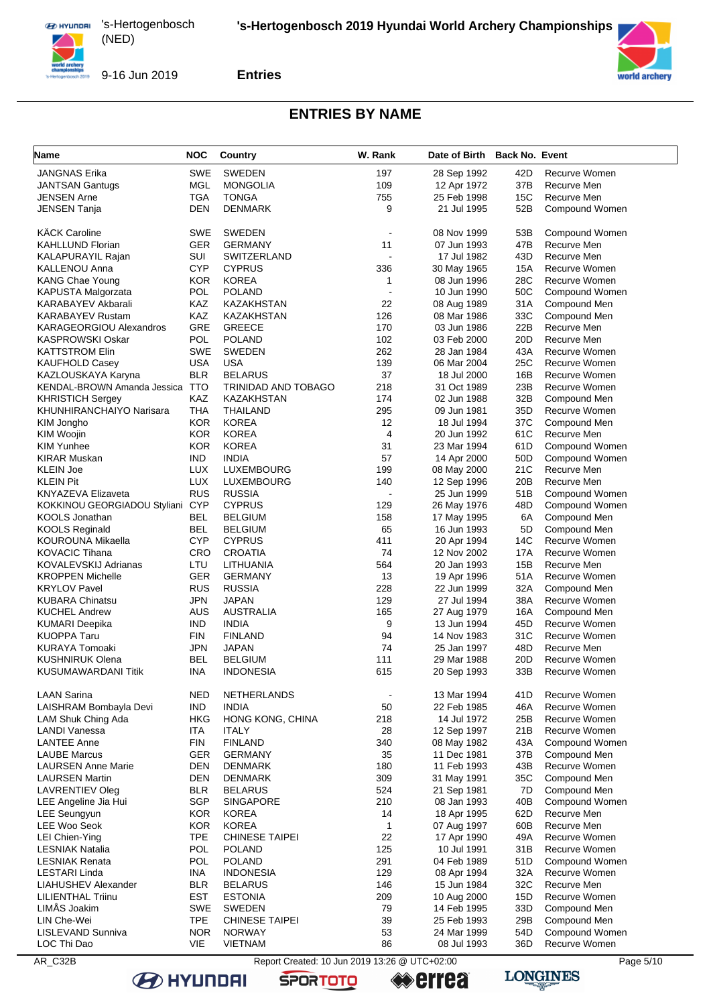



**Entries**

# **ENTRIES BY NAME**

| Name                                              | <b>NOC</b>               | Country                                       | W. Rank                  | Date of Birth Back No. Event |                 |                                |
|---------------------------------------------------|--------------------------|-----------------------------------------------|--------------------------|------------------------------|-----------------|--------------------------------|
| <b>JANGNAS Erika</b>                              | <b>SWE</b>               | <b>SWEDEN</b>                                 | 197                      | 28 Sep 1992                  | 42D             | Recurve Women                  |
| <b>JANTSAN Gantugs</b>                            | MGL                      | <b>MONGOLIA</b>                               | 109                      | 12 Apr 1972                  | 37B             | Recurve Men                    |
| JENSEN Arne                                       | TGA                      | <b>TONGA</b>                                  | 755                      | 25 Feb 1998                  | 15C             | Recurve Men                    |
| JENSEN Tanja                                      | <b>DEN</b>               | <b>DENMARK</b>                                | 9                        | 21 Jul 1995                  | 52B             | Compound Women                 |
| <b>KÄCK Caroline</b>                              | <b>SWE</b>               | <b>SWEDEN</b>                                 |                          | 08 Nov 1999                  | 53B             | Compound Women                 |
| <b>KAHLLUND Florian</b>                           | <b>GER</b>               | <b>GERMANY</b>                                | 11                       | 07 Jun 1993                  | 47B             | Recurve Men                    |
| KALAPURAYIL Rajan                                 | SUI                      | <b>SWITZERLAND</b>                            |                          | 17 Jul 1982                  | 43D             | Recurve Men                    |
| KALLENOU Anna                                     | <b>CYP</b>               | <b>CYPRUS</b>                                 | 336                      | 30 May 1965                  | 15A             | Recurve Women                  |
| KANG Chae Young                                   | KOR                      | <b>KOREA</b>                                  | $\mathbf{1}$             | 08 Jun 1996                  | 28C             | Recurve Women                  |
| KAPUSTA Malgorzata                                | POL                      | <b>POLAND</b>                                 |                          | 10 Jun 1990                  | 50C             | Compound Women                 |
| KARABAYEV Akbarali                                | KAZ                      | KAZAKHSTAN                                    | 22                       | 08 Aug 1989                  | 31A             | Compound Men                   |
| <b>KARABAYEV Rustam</b>                           | KAZ                      | KAZAKHSTAN                                    | 126                      | 08 Mar 1986                  | 33C             | Compound Men                   |
| <b>KARAGEORGIOU Alexandros</b>                    | <b>GRE</b>               | <b>GREECE</b>                                 | 170                      | 03 Jun 1986                  | 22B             | Recurve Men                    |
| KASPROWSKI Oskar                                  | POL                      | POLAND                                        | 102                      | 03 Feb 2000                  | 20D             | Recurve Men                    |
| <b>KATTSTROM Elin</b>                             | <b>SWE</b><br><b>USA</b> | SWEDEN                                        | 262                      | 28 Jan 1984                  | 43A<br>25C      | Recurve Women                  |
| <b>KAUFHOLD Casey</b>                             | <b>BLR</b>               | <b>USA</b><br><b>BELARUS</b>                  | 139<br>37                | 06 Mar 2004                  | 16B             | Recurve Women<br>Recurve Women |
| KAZLOUSKAYA Karyna<br>KENDAL-BROWN Amanda Jessica | <b>TTO</b>               | TRINIDAD AND TOBAGO                           | 218                      | 18 Jul 2000<br>31 Oct 1989   | 23B             | Recurve Women                  |
| <b>KHRISTICH Sergey</b>                           | KAZ                      | KAZAKHSTAN                                    | 174                      | 02 Jun 1988                  | 32B             | Compound Men                   |
| KHUNHIRANCHAIYO Narisara                          | THA                      | THAILAND                                      | 295                      | 09 Jun 1981                  | 35D             | Recurve Women                  |
| KIM Jongho                                        | <b>KOR</b>               | <b>KOREA</b>                                  | 12                       | 18 Jul 1994                  | 37C             | Compound Men                   |
| KIM Woojin                                        | <b>KOR</b>               | <b>KOREA</b>                                  | $\overline{4}$           | 20 Jun 1992                  | 61C             | Recurve Men                    |
| <b>KIM Yunhee</b>                                 | <b>KOR</b>               | <b>KOREA</b>                                  | 31                       | 23 Mar 1994                  | 61D             | Compound Women                 |
| <b>KIRAR Muskan</b>                               | <b>IND</b>               | INDIA                                         | 57                       | 14 Apr 2000                  | 50D             | Compound Women                 |
| <b>KLEIN Joe</b>                                  | LUX                      | LUXEMBOURG                                    | 199                      | 08 May 2000                  | 21C             | Recurve Men                    |
| <b>KLEIN Pit</b>                                  | LUX                      | LUXEMBOURG                                    | 140                      | 12 Sep 1996                  | 20 <sub>B</sub> | Recurve Men                    |
| <b>KNYAZEVA Elizaveta</b>                         | <b>RUS</b>               | <b>RUSSIA</b>                                 |                          | 25 Jun 1999                  | 51B             | Compound Women                 |
| KOKKINOU GEORGIADOU Styliani CYP                  |                          | <b>CYPRUS</b>                                 | 129                      | 26 May 1976                  | 48D             | Compound Women                 |
| KOOLS Jonathan                                    | BEL                      | <b>BELGIUM</b>                                | 158                      | 17 May 1995                  | 6A              | Compound Men                   |
| <b>KOOLS Reginald</b>                             | <b>BEL</b>               | BELGIUM                                       | 65                       | 16 Jun 1993                  | 5D              | Compound Men                   |
| KOUROUNA Mikaella                                 | <b>CYP</b>               | <b>CYPRUS</b>                                 | 411                      | 20 Apr 1994                  | 14C             | Recurve Women                  |
| <b>KOVACIC Tihana</b>                             | CRO                      | <b>CROATIA</b>                                | 74                       | 12 Nov 2002                  | 17A             | Recurve Women                  |
| KOVALEVSKIJ Adrianas                              | LTU                      | LITHUANIA                                     | 564                      | 20 Jan 1993                  | 15B             | Recurve Men                    |
| <b>KROPPEN Michelle</b>                           | <b>GER</b>               | <b>GERMANY</b>                                | 13                       | 19 Apr 1996                  | 51A             | Recurve Women                  |
| <b>KRYLOV Pavel</b>                               | <b>RUS</b>               | <b>RUSSIA</b>                                 | 228                      | 22 Jun 1999                  | 32A             | Compound Men                   |
| <b>KUBARA Chinatsu</b>                            | <b>JPN</b>               | <b>JAPAN</b>                                  | 129                      | 27 Jul 1994                  | 38A             | Recurve Women                  |
| <b>KUCHEL Andrew</b>                              | AUS                      | <b>AUSTRALIA</b>                              | 165                      | 27 Aug 1979                  | 16A             | Compound Men                   |
| <b>KUMARI Deepika</b>                             | <b>IND</b>               | <b>INDIA</b>                                  | 9                        | 13 Jun 1994                  | 45D             | Recurve Women                  |
| <b>KUOPPA Taru</b>                                | <b>FIN</b>               | <b>FINLAND</b>                                | 94                       | 14 Nov 1983                  | 31C             | Recurve Women                  |
| KURAYA Tomoaki                                    | JPN                      | JAPAN                                         | 74                       | 25 Jan 1997                  | 48D             | Recurve Men                    |
| KUSHNIRUK Olena                                   | BEL                      | <b>BELGIUM</b>                                | 111                      | 29 Mar 1988                  | 20D             | Recurve Women                  |
| KUSUMAWARDANI Titik                               | <b>INA</b>               | <b>INDONESIA</b>                              | 615                      | 20 Sep 1993                  | 33B             | Recurve Women                  |
| <b>LAAN Sarina</b>                                | <b>NED</b>               | NETHERLANDS                                   | $\overline{\phantom{a}}$ | 13 Mar 1994                  | 41 D            | Recurve Women                  |
| LAISHRAM Bombayla Devi                            | <b>IND</b>               | <b>INDIA</b>                                  | 50                       | 22 Feb 1985                  | 46A             | Recurve Women                  |
| LAM Shuk Ching Ada                                | HKG                      | HONG KONG, CHINA                              | 218                      | 14 Jul 1972                  | 25B             | Recurve Women                  |
| <b>LANDI Vanessa</b>                              | ITA                      | ITALY                                         | 28                       | 12 Sep 1997                  | 21B             | Recurve Women                  |
| <b>LANTEE Anne</b>                                | <b>FIN</b>               | <b>FINLAND</b>                                | 340                      | 08 May 1982                  | 43A             | Compound Women                 |
| <b>LAUBE Marcus</b>                               | <b>GER</b>               | <b>GERMANY</b>                                | 35                       | 11 Dec 1981                  | 37B             | Compound Men                   |
| <b>LAURSEN Anne Marie</b>                         | <b>DEN</b>               | DENMARK                                       | 180                      | 11 Feb 1993                  | 43B             | Recurve Women                  |
| <b>LAURSEN Martin</b><br><b>LAVRENTIEV Oleg</b>   | <b>DEN</b><br><b>BLR</b> | DENMARK                                       | 309<br>524               | 31 May 1991                  | 35C<br>7D       | Compound Men<br>Compound Men   |
| LEE Angeline Jia Hui                              | SGP                      | <b>BELARUS</b><br>SINGAPORE                   | 210                      | 21 Sep 1981<br>08 Jan 1993   | 40B             | Compound Women                 |
| LEE Seungyun                                      | <b>KOR</b>               | <b>KOREA</b>                                  | 14                       | 18 Apr 1995                  | 62D             | Recurve Men                    |
| LEE Woo Seok                                      | <b>KOR</b>               | <b>KOREA</b>                                  | $\mathbf{1}$             | 07 Aug 1997                  | 60B             | Recurve Men                    |
| LEI Chien-Ying                                    | <b>TPE</b>               | <b>CHINESE TAIPEI</b>                         | 22                       | 17 Apr 1990                  | 49A             | Recurve Women                  |
| <b>LESNIAK Natalia</b>                            | <b>POL</b>               | POLAND                                        | 125                      | 10 Jul 1991                  | 31B             | Recurve Women                  |
| <b>LESNIAK Renata</b>                             | <b>POL</b>               | POLAND                                        | 291                      | 04 Feb 1989                  | 51D             | Compound Women                 |
| <b>LESTARI Linda</b>                              | <b>INA</b>               | <b>INDONESIA</b>                              | 129                      | 08 Apr 1994                  | 32A             | Recurve Women                  |
| LIAHUSHEV Alexander                               | <b>BLR</b>               | BELARUS                                       | 146                      | 15 Jun 1984                  | 32C             | Recurve Men                    |
| <b>LILIENTHAL Triinu</b>                          | <b>EST</b>               | ESTONIA                                       | 209                      | 10 Aug 2000                  | 15D             | Recurve Women                  |
| LIMÅS Joakim                                      | SWE                      | <b>SWEDEN</b>                                 | 79                       | 14 Feb 1995                  | 33D             | Compound Men                   |
| LIN Che-Wei                                       | TPE                      | <b>CHINESE TAIPEI</b>                         | 39                       | 25 Feb 1993                  | 29B             | Compound Men                   |
| LISLEVAND Sunniva                                 | <b>NOR</b>               | <b>NORWAY</b>                                 | 53                       | 24 Mar 1999                  | 54D             | Compound Women                 |
| LOC Thi Dao                                       | VIE                      | <b>VIETNAM</b>                                | 86                       | 08 Jul 1993                  | 36D             | Recurve Women                  |
| AR_C32B                                           |                          | Report Created: 10 Jun 2019 13:26 @ UTC+02:00 |                          |                              |                 | Page 5/10                      |

**errea** 

**SPORTOTO** 

**LONGINES**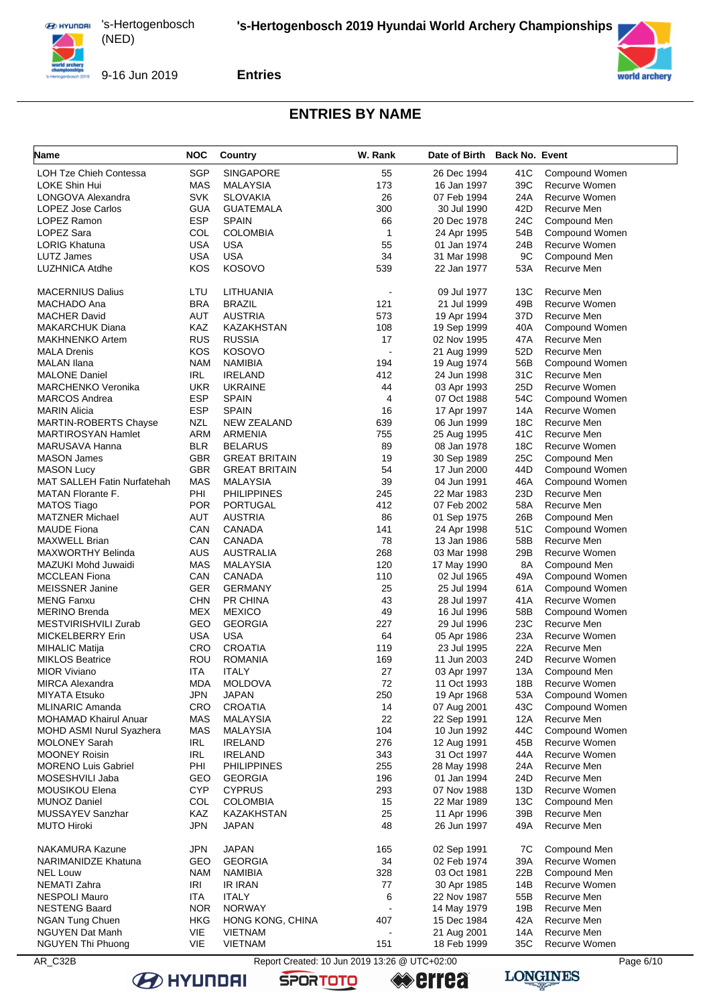

#### **Entries**



### **ENTRIES BY NAME**

| Name                                                    | <b>NOC</b>        | <b>Country</b>             | W. Rank                                       | Date of Birth              | <b>Back No. Event</b> |                                |
|---------------------------------------------------------|-------------------|----------------------------|-----------------------------------------------|----------------------------|-----------------------|--------------------------------|
| <b>LOH Tze Chieh Contessa</b>                           | <b>SGP</b>        | <b>SINGAPORE</b>           | 55                                            | 26 Dec 1994                | 41C                   | Compound Women                 |
| LOKE Shin Hui                                           | MAS               | <b>MALAYSIA</b>            | 173                                           | 16 Jan 1997                | 39C                   | Recurve Women                  |
| LONGOVA Alexandra                                       | <b>SVK</b>        | <b>SLOVAKIA</b>            | 26                                            | 07 Feb 1994                | 24A                   | Recurve Women                  |
| LOPEZ Jose Carlos                                       | <b>GUA</b>        | <b>GUATEMALA</b>           | 300                                           | 30 Jul 1990                | 42D                   | Recurve Men                    |
| <b>LOPEZ Ramon</b>                                      | <b>ESP</b>        | <b>SPAIN</b>               | 66                                            | 20 Dec 1978                | 24C                   | Compound Men                   |
| <b>LOPEZ Sara</b>                                       | COL               | <b>COLOMBIA</b>            | $\mathbf{1}$                                  | 24 Apr 1995                | 54B                   | Compound Women                 |
| <b>LORIG Khatuna</b>                                    | <b>USA</b>        | <b>USA</b>                 | 55                                            | 01 Jan 1974                | 24B                   | Recurve Women                  |
| LUTZ James                                              | <b>USA</b>        | <b>USA</b>                 | 34                                            | 31 Mar 1998                | 9C                    | Compound Men                   |
| LUZHNICA Atdhe                                          | <b>KOS</b>        | <b>KOSOVO</b>              | 539                                           | 22 Jan 1977                | 53A                   | Recurve Men                    |
| <b>MACERNIUS Dalius</b>                                 | LTU               | LITHUANIA                  | $\blacksquare$                                | 09 Jul 1977                | 13C                   | Recurve Men                    |
| MACHADO Ana                                             | <b>BRA</b>        | <b>BRAZIL</b>              | 121                                           | 21 Jul 1999                | 49B                   | Recurve Women                  |
| <b>MACHER David</b>                                     | AUT               | <b>AUSTRIA</b>             | 573                                           | 19 Apr 1994                | 37D                   | Recurve Men                    |
| <b>MAKARCHUK Diana</b>                                  | KAZ               | KAZAKHSTAN                 | 108                                           | 19 Sep 1999                | 40A                   | Compound Women                 |
| <b>MAKHNENKO Artem</b>                                  | <b>RUS</b>        | <b>RUSSIA</b>              | 17                                            | 02 Nov 1995                | 47A                   | Recurve Men                    |
| <b>MALA Drenis</b>                                      | KOS               | <b>KOSOVO</b>              |                                               | 21 Aug 1999                | 52D                   | Recurve Men                    |
| <b>MALAN Ilana</b>                                      | <b>NAM</b>        | <b>NAMIBIA</b>             | 194                                           | 19 Aug 1974                | 56B                   | Compound Women                 |
| <b>MALONE Daniel</b>                                    | IRL               | <b>IRELAND</b>             | 412                                           | 24 Jun 1998                | 31C                   | Recurve Men                    |
| <b>MARCHENKO Veronika</b>                               | <b>UKR</b>        | <b>UKRAINE</b>             | 44                                            | 03 Apr 1993                | 25D                   | Recurve Women                  |
| <b>MARCOS Andrea</b>                                    | <b>ESP</b>        | <b>SPAIN</b>               | 4                                             | 07 Oct 1988                | 54C                   | Compound Women                 |
| <b>MARIN Alicia</b>                                     | <b>ESP</b>        | <b>SPAIN</b>               | 16                                            | 17 Apr 1997                | 14A                   | Recurve Women                  |
| MARTIN-ROBERTS Chayse                                   | NZL               | <b>NEW ZEALAND</b>         | 639                                           | 06 Jun 1999                | 18C                   | Recurve Men                    |
| <b>MARTIROSYAN Hamlet</b>                               | <b>ARM</b>        | ARMENIA                    | 755                                           | 25 Aug 1995                | 41C                   | Recurve Men                    |
| MARUSAVA Hanna                                          | <b>BLR</b>        | <b>BELARUS</b>             | 89                                            | 08 Jan 1978                | 18C                   | Recurve Women                  |
| <b>MASON James</b>                                      | <b>GBR</b>        | <b>GREAT BRITAIN</b>       | 19                                            | 30 Sep 1989                | 25C                   | Compound Men                   |
| <b>MASON Lucy</b><br><b>MAT SALLEH Fatin Nurfatehah</b> | <b>GBR</b>        | <b>GREAT BRITAIN</b>       | 54                                            | 17 Jun 2000                | 44D<br>46A            | Compound Women                 |
|                                                         | <b>MAS</b>        | <b>MALAYSIA</b>            | 39                                            | 04 Jun 1991                | 23D                   | Compound Women                 |
| MATAN Florante F.<br><b>MATOS Tiago</b>                 | PHI<br><b>POR</b> | <b>PHILIPPINES</b>         | 245<br>412                                    | 22 Mar 1983                | 58A                   | Recurve Men<br>Recurve Men     |
| <b>MATZNER Michael</b>                                  | AUT               | PORTUGAL<br><b>AUSTRIA</b> | 86                                            | 07 Feb 2002                | 26B                   |                                |
| <b>MAUDE Fiona</b>                                      | CAN               | CANADA                     | 141                                           | 01 Sep 1975<br>24 Apr 1998 | 51C                   | Compound Men<br>Compound Women |
| MAXWELL Brian                                           | CAN               | CANADA                     | 78                                            | 13 Jan 1986                | 58B                   | Recurve Men                    |
| <b>MAXWORTHY Belinda</b>                                | AUS               | <b>AUSTRALIA</b>           | 268                                           | 03 Mar 1998                | 29B                   | Recurve Women                  |
| MAZUKI Mohd Juwaidi                                     | MAS               | <b>MALAYSIA</b>            | 120                                           | 17 May 1990                | 8A                    | Compound Men                   |
| <b>MCCLEAN Fiona</b>                                    | CAN               | CANADA                     | 110                                           | 02 Jul 1965                | 49A                   | Compound Women                 |
| <b>MEISSNER Janine</b>                                  | GER               | <b>GERMANY</b>             | 25                                            | 25 Jul 1994                | 61A                   | Compound Women                 |
| <b>MENG Fanxu</b>                                       | <b>CHN</b>        | PR CHINA                   | 43                                            | 28 Jul 1997                | 41A                   | Recurve Women                  |
| <b>MERINO Brenda</b>                                    | <b>MEX</b>        | <b>MEXICO</b>              | 49                                            | 16 Jul 1996                | 58B                   | Compound Women                 |
| MESTVIRISHVILI Zurab                                    | GEO               | <b>GEORGIA</b>             | 227                                           | 29 Jul 1996                | 23C                   | Recurve Men                    |
| <b>MICKELBERRY Erin</b>                                 | <b>USA</b>        | <b>USA</b>                 | 64                                            | 05 Apr 1986                | 23A                   | Recurve Women                  |
| <b>MIHALIC Matija</b>                                   | CRO               | <b>CROATIA</b>             | 119                                           | 23 Jul 1995                | 22A                   | Recurve Men                    |
| <b>MIKLOS Beatrice</b>                                  | ROU               | <b>ROMANIA</b>             | 169                                           | 11 Jun 2003                | 24D                   | Recurve Women                  |
| <b>MIOR Viviano</b>                                     | ITA               | <b>ITALY</b>               | 27                                            | 03 Apr 1997                | 13A                   | Compound Men                   |
| <b>MIRCA Alexandra</b>                                  | <b>MDA</b>        | <b>MOLDOVA</b>             | 72                                            | 11 Oct 1993                | 18B                   | Recurve Women                  |
| MIYATA Etsuko                                           | JPN               | <b>JAPAN</b>               | 250                                           | 19 Apr 1968                | 53A                   | Compound Women                 |
| <b>MLINARIC Amanda</b>                                  | CRO               | <b>CROATIA</b>             | 14                                            | 07 Aug 2001                | 43C                   | Compound Women                 |
| <b>MOHAMAD Khairul Anuar</b>                            | <b>MAS</b>        | <b>MALAYSIA</b>            | 22                                            | 22 Sep 1991                | 12A                   | Recurve Men                    |
| <b>MOHD ASMI Nurul Syazhera</b>                         | MAS               | MALAYSIA                   | 104                                           | 10 Jun 1992                | 44C                   | Compound Women                 |
| <b>MOLONEY Sarah</b>                                    | IRL               | <b>IRELAND</b>             | 276                                           | 12 Aug 1991                | 45B                   | Recurve Women                  |
| <b>MOONEY Roisin</b>                                    | IRL               | <b>IRELAND</b>             | 343                                           | 31 Oct 1997                | 44A                   | Recurve Women                  |
| <b>MORENO Luis Gabriel</b>                              | PHI               | <b>PHILIPPINES</b>         | 255                                           | 28 May 1998                | 24A                   | Recurve Men                    |
| MOSESHVILI Jaba                                         | GEO               | <b>GEORGIA</b>             | 196                                           | 01 Jan 1994                | 24D                   | Recurve Men                    |
| <b>MOUSIKOU Elena</b>                                   | <b>CYP</b>        | <b>CYPRUS</b>              | 293                                           | 07 Nov 1988                | 13D                   | Recurve Women                  |
| <b>MUNOZ Daniel</b>                                     | COL               | <b>COLOMBIA</b>            | 15                                            | 22 Mar 1989                | 13C                   | Compound Men                   |
| MUSSAYEV Sanzhar                                        | KAZ               | <b>KAZAKHSTAN</b>          | 25                                            | 11 Apr 1996                | 39B                   | Recurve Men                    |
| <b>MUTO Hiroki</b>                                      | JPN               | <b>JAPAN</b>               | 48                                            | 26 Jun 1997                | 49A                   | Recurve Men                    |
| <b>NAKAMURA Kazune</b>                                  | JPN               | <b>JAPAN</b>               | 165                                           | 02 Sep 1991                | 7C                    | Compound Men                   |
| <b>NARIMANIDZE Khatuna</b>                              | GEO               | <b>GEORGIA</b>             | 34                                            | 02 Feb 1974                | 39A                   | Recurve Women                  |
| <b>NEL Louw</b>                                         | <b>NAM</b>        | <b>NAMIBIA</b>             | 328                                           | 03 Oct 1981                | 22B                   | Compound Men                   |
| NEMATI Zahra                                            | IRI               | <b>IR IRAN</b>             | 77                                            | 30 Apr 1985                | 14B                   | Recurve Women                  |
| <b>NESPOLI Mauro</b>                                    | ITA               | <b>ITALY</b>               | 6                                             | 22 Nov 1987                | 55B                   | Recurve Men                    |
| <b>NESTENG Baard</b>                                    | <b>NOR</b>        | <b>NORWAY</b>              |                                               | 14 May 1979                | 19B                   | Recurve Men                    |
| NGAN Tung Chuen                                         | HKG               | HONG KONG, CHINA           | 407                                           | 15 Dec 1984                | 42A                   | Recurve Men                    |
| <b>NGUYEN Dat Manh</b>                                  | VIE               | <b>VIETNAM</b>             |                                               | 21 Aug 2001                | 14A                   | Recurve Men                    |
| NGUYEN Thi Phuong                                       | VIE               | <b>VIETNAM</b>             | 151                                           | 18 Feb 1999                | 35C                   | Recurve Women                  |
| AR_C32B                                                 |                   |                            | Report Created: 10 Jun 2019 13:26 @ UTC+02:00 |                            |                       | Page 6/10                      |

**SPORTOTO** 



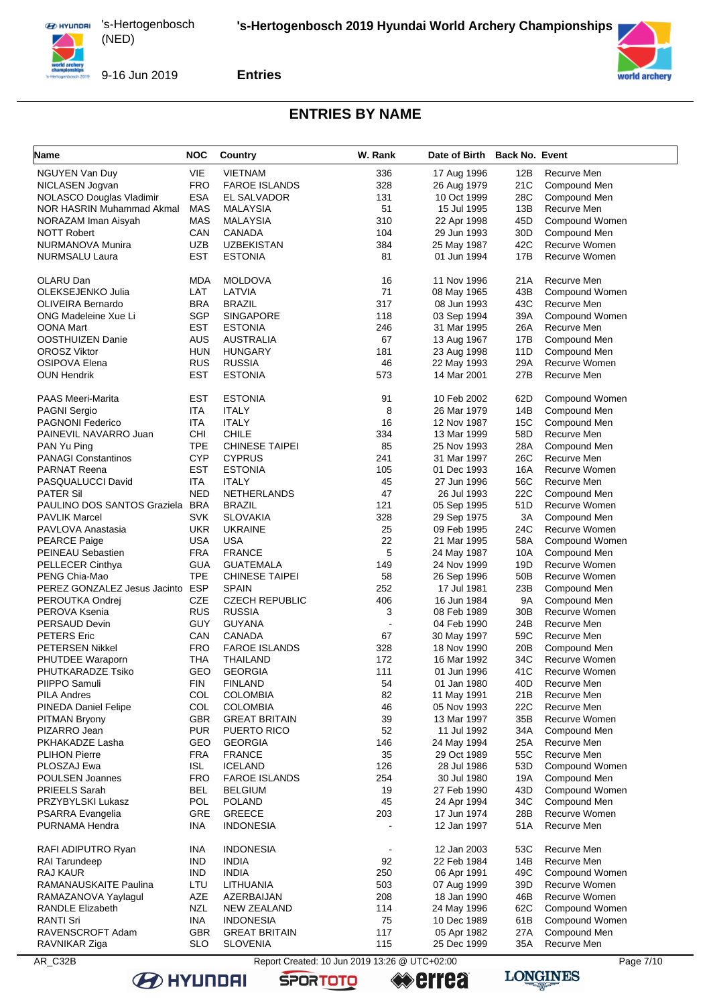

9-16 Jun 2019

#### **Entries**



#### **ENTRIES BY NAME**

| <b>Name</b>                  | <b>NOC</b> | <b>Country</b>        | W. Rank | Date of Birth Back No. Event |                 |                                |
|------------------------------|------------|-----------------------|---------|------------------------------|-----------------|--------------------------------|
| <b>NGUYEN Van Duy</b>        | VIE        | <b>VIETNAM</b>        | 336     | 17 Aug 1996                  | 12B             | Recurve Men                    |
| NICLASEN Jogvan              | <b>FRO</b> | <b>FAROE ISLANDS</b>  | 328     | 26 Aug 1979                  | 21C             | Compound Men                   |
| NOLASCO Douglas Vladimir     | ESA        | EL SALVADOR           | 131     | 10 Oct 1999                  | 28C             | Compound Men                   |
| NOR HASRIN Muhammad Akmal    | <b>MAS</b> | <b>MALAYSIA</b>       | 51      | 15 Jul 1995                  | 13B             | Recurve Men                    |
| NORAZAM Iman Aisyah          | <b>MAS</b> | MALAYSIA              | 310     | 22 Apr 1998                  | 45D             | Compound Women                 |
| <b>NOTT Robert</b>           | CAN        | <b>CANADA</b>         | 104     | 29 Jun 1993                  | 30D             | Compound Men                   |
| NURMANOVA Munira             | UZB        | <b>UZBEKISTAN</b>     | 384     | 25 May 1987                  | 42C             | Recurve Women                  |
| <b>NURMSALU Laura</b>        | EST        | <b>ESTONIA</b>        | 81      | 01 Jun 1994                  | 17B             | Recurve Women                  |
| OLARU Dan                    | MDA        | <b>MOLDOVA</b>        | 16      | 11 Nov 1996                  | 21A             | Recurve Men                    |
| OLEKSEJENKO Julia            | LAT        | LATVIA                | 71      | 08 May 1965                  | 43B             | Compound Women                 |
| <b>OLIVEIRA Bernardo</b>     | <b>BRA</b> | <b>BRAZIL</b>         | 317     | 08 Jun 1993                  | 43C             | Recurve Men                    |
| ONG Madeleine Xue Li         | <b>SGP</b> | <b>SINGAPORE</b>      | 118     | 03 Sep 1994                  | 39A             | Compound Women                 |
| OONA Mart                    | EST        | <b>ESTONIA</b>        | 246     | 31 Mar 1995                  | 26A             | Recurve Men                    |
| OOSTHUIZEN Danie             | <b>AUS</b> | AUSTRALIA             | 67      | 13 Aug 1967                  | 17B             | Compound Men                   |
| <b>OROSZ Viktor</b>          | HUN        | <b>HUNGARY</b>        | 181     | 23 Aug 1998                  | 11D             | Compound Men                   |
| <b>OSIPOVA Elena</b>         | <b>RUS</b> | <b>RUSSIA</b>         | 46      | 22 May 1993                  | 29A             | Recurve Women                  |
| <b>OUN Hendrik</b>           | EST        | <b>ESTONIA</b>        | 573     | 14 Mar 2001                  | 27B             | Recurve Men                    |
|                              |            |                       |         |                              |                 |                                |
| <b>PAAS Meeri-Marita</b>     | EST        | <b>ESTONIA</b>        | 91      | 10 Feb 2002                  | 62D             | Compound Women                 |
| <b>PAGNI Sergio</b>          | ITA        | <b>ITALY</b>          | 8       | 26 Mar 1979                  | 14B             | Compound Men                   |
| <b>PAGNONI Federico</b>      | ITA        | <b>ITALY</b>          | 16      | 12 Nov 1987                  | 15C             | Compound Men                   |
| PAINEVIL NAVARRO Juan        | CHI        | <b>CHILE</b>          | 334     | 13 Mar 1999                  | 58D             | Recurve Men                    |
| PAN Yu Ping                  | <b>TPE</b> | <b>CHINESE TAIPEI</b> | 85      | 25 Nov 1993                  | 28A             | Compound Men                   |
| <b>PANAGI Constantinos</b>   | <b>CYP</b> | <b>CYPRUS</b>         | 241     | 31 Mar 1997                  | 26C             | Recurve Men                    |
| <b>PARNAT Reena</b>          | EST        | <b>ESTONIA</b>        | 105     | 01 Dec 1993                  | 16A             | Recurve Women                  |
| PASQUALUCCI David            | ITA        | <b>ITALY</b>          | 45      | 27 Jun 1996                  | 56C             | Recurve Men                    |
| <b>PATER Sil</b>             | <b>NED</b> | <b>NETHERLANDS</b>    | 47      | 26 Jul 1993                  | 22C             | Compound Men                   |
| PAULINO DOS SANTOS Graziela  | <b>BRA</b> | <b>BRAZIL</b>         | 121     | 05 Sep 1995                  | 51D             | Recurve Women                  |
| <b>PAVLIK Marcel</b>         | SVK        | <b>SLOVAKIA</b>       | 328     | 29 Sep 1975                  | ЗA              | Compound Men                   |
| PAVLOVA Anastasia            | UKR        | <b>UKRAINE</b>        | 25      | 09 Feb 1995                  | 24C             | Recurve Women                  |
| <b>PEARCE Paige</b>          | USA        | <b>USA</b>            | 22      | 21 Mar 1995                  | 58A             | Compound Women                 |
| PEINEAU Sebastien            | <b>FRA</b> | <b>FRANCE</b>         | 5       | 24 May 1987                  | 10A             | Compound Men                   |
| <b>PELLECER Cinthya</b>      | GUA        | <b>GUATEMALA</b>      | 149     | 24 Nov 1999                  | 19D             | Recurve Women                  |
| PENG Chia-Mao                | TPE        | <b>CHINESE TAIPEI</b> | 58      | 26 Sep 1996                  | 50 <sub>B</sub> | Recurve Women                  |
| PEREZ GONZALEZ Jesus Jacinto | <b>ESP</b> | SPAIN                 | 252     | 17 Jul 1981                  | 23B             | Compound Men                   |
| PEROUTKA Ondrej              | CZE        | <b>CZECH REPUBLIC</b> | 406     | 16 Jun 1984                  | <b>9A</b>       | Compound Men                   |
| PEROVA Ksenia                | <b>RUS</b> | <b>RUSSIA</b>         | 3       | 08 Feb 1989                  | 30 <sub>B</sub> | Recurve Women                  |
| PERSAUD Devin                | GUY        | <b>GUYANA</b>         |         | 04 Feb 1990                  | 24B             | Recurve Men                    |
| <b>PETERS</b> Eric           | CAN        | CANADA                | 67      | 30 May 1997                  | 59C             | Recurve Men                    |
| <b>PETERSEN Nikkel</b>       | <b>FRO</b> | <b>FAROE ISLANDS</b>  | 328     | 18 Nov 1990                  | 20B             | Compound Men                   |
| PHUTDEE Waraporn             | THA        | THAILAND              | 172     | 16 Mar 1992                  | 34C             | Recurve Women                  |
| PHUTKARADZE Tsiko            | GEO        | <b>GEORGIA</b>        | 111     | 01 Jun 1996                  | 41C             | Recurve Women                  |
| PIIPPO Samuli                | FIN        | <b>FINLAND</b>        | 54      | 01 Jan 1980                  | 40D             | Recurve Men                    |
| <b>PILA Andres</b>           | COL        | <b>COLOMBIA</b>       | 82      | 11 May 1991                  | 21B             | Recurve Men                    |
| <b>PINEDA Daniel Felipe</b>  | COL        | <b>COLOMBIA</b>       | 46      | 05 Nov 1993                  | 22C             | Recurve Men                    |
| <b>PITMAN Bryony</b>         | GBR        | <b>GREAT BRITAIN</b>  | 39      | 13 Mar 1997                  | 35B             | Recurve Women                  |
| PIZARRO Jean                 | <b>PUR</b> | PUERTO RICO           | 52      | 11 Jul 1992                  | 34A             | Compound Men                   |
| PKHAKADZE Lasha              | GEO        | <b>GEORGIA</b>        | 146     | 24 May 1994                  | 25A             | Recurve Men                    |
| <b>PLIHON Pierre</b>         | <b>FRA</b> | <b>FRANCE</b>         | 35      | 29 Oct 1989                  | 55C             | Recurve Men                    |
| PLOSZAJ Ewa                  | ISL        | <b>ICELAND</b>        | 126     | 28 Jul 1986                  | 53D             | Compound Women                 |
| POULSEN Joannes              | <b>FRO</b> | <b>FAROE ISLANDS</b>  | 254     | 30 Jul 1980                  | 19A             | Compound Men                   |
| PRIEELS Sarah                | BEL        | <b>BELGIUM</b>        | 19      | 27 Feb 1990                  | 43D             | Compound Women<br>Compound Men |
| PRZYBYLSKI Lukasz            | <b>POL</b> | <b>POLAND</b>         | 45      | 24 Apr 1994                  | 34C             | Recurve Women                  |
| PSARRA Evangelia             | <b>GRE</b> | <b>GREECE</b>         | 203     | 17 Jun 1974                  | 28B             |                                |
| PURNAMA Hendra               | INA        | <b>INDONESIA</b>      |         | 12 Jan 1997                  | 51A             | Recurve Men                    |
| RAFI ADIPUTRO Ryan           | INA        | <b>INDONESIA</b>      |         | 12 Jan 2003                  | 53C             | Recurve Men                    |
| RAI Tarundeep                | <b>IND</b> | <b>INDIA</b>          | 92      | 22 Feb 1984                  | 14B             | Recurve Men                    |
| RAJ KAUR                     | <b>IND</b> | <b>INDIA</b>          | 250     | 06 Apr 1991                  | 49C             | Compound Women                 |
| RAMANAUSKAITE Paulina        | LTU        | LITHUANIA             | 503     | 07 Aug 1999                  | 39D             | Recurve Women                  |
| RAMAZANOVA Yaylagul          | AZE        | AZERBAIJAN            | 208     | 18 Jan 1990                  | 46B             | Recurve Women                  |
| <b>RANDLE Elizabeth</b>      | <b>NZL</b> | NEW ZEALAND           | 114     | 24 May 1996                  | 62C             | Compound Women                 |
| RANTI Sri                    | INA        | <b>INDONESIA</b>      | 75      | 10 Dec 1989                  | 61B             | Compound Women                 |
| RAVENSCROFT Adam             | <b>GBR</b> | <b>GREAT BRITAIN</b>  | 117     | 05 Apr 1982                  | 27A             | Compound Men                   |
| RAVNIKAR Ziga                | <b>SLO</b> | <b>SLOVENIA</b>       | 115     | 25 Dec 1999                  | 35A             | Recurve Men                    |

AR\_C32B Report Created: 10 Jun 2019 13:26 @ UTC+02:00 Page 7/10 Page 7/10

**SPORTOTO** 

**errea**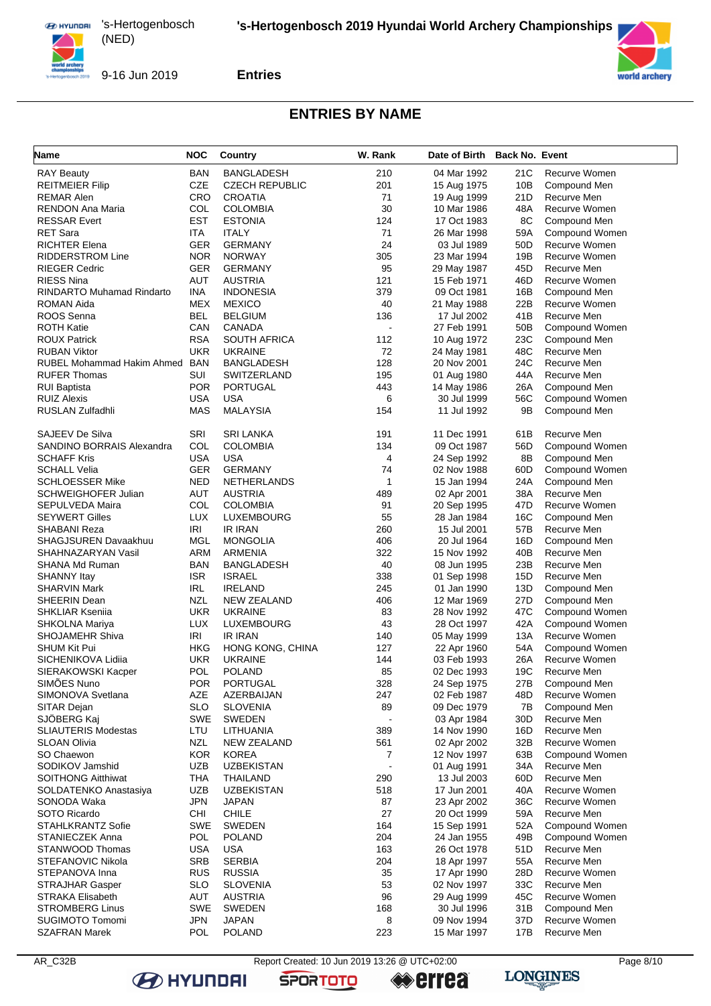

**Entries**



### **ENTRIES BY NAME**

| <b>Name</b>                               | <b>NOC</b>        | <b>Country</b>           | W. Rank              | Date of Birth Back No. Event |            |                            |
|-------------------------------------------|-------------------|--------------------------|----------------------|------------------------------|------------|----------------------------|
| <b>RAY Beauty</b>                         | <b>BAN</b>        | <b>BANGLADESH</b>        | 210                  | 04 Mar 1992                  | 21C        | Recurve Women              |
| <b>REITMEIER Filip</b>                    | <b>CZE</b>        | <b>CZECH REPUBLIC</b>    | 201                  | 15 Aug 1975                  | 10B        | Compound Men               |
| <b>REMAR Alen</b>                         | CRO               | <b>CROATIA</b>           | 71                   | 19 Aug 1999                  | 21D        | Recurve Men                |
| RENDON Ana Maria                          | COL               | <b>COLOMBIA</b>          | 30                   | 10 Mar 1986                  | 48A        | <b>Recurve Women</b>       |
| <b>RESSAR Evert</b>                       | EST               | <b>ESTONIA</b>           | 124                  | 17 Oct 1983                  | 8C         | Compound Men               |
| <b>RET Sara</b>                           | ITA               | <b>ITALY</b>             | 71                   | 26 Mar 1998                  | 59A        | Compound Women             |
| <b>RICHTER Elena</b>                      | GER               | <b>GERMANY</b>           | 24                   | 03 Jul 1989                  | 50D        | Recurve Women              |
| <b>RIDDERSTROM Line</b>                   | <b>NOR</b>        | <b>NORWAY</b>            | 305                  | 23 Mar 1994                  | 19B        | Recurve Women              |
| <b>RIEGER Cedric</b>                      | GER               | <b>GERMANY</b>           | 95                   | 29 May 1987                  | 45D        | Recurve Men                |
| <b>RIESS Nina</b>                         | AUT               | <b>AUSTRIA</b>           | 121                  | 15 Feb 1971                  | 46D        | Recurve Women              |
| <b>RINDARTO Muhamad Rindarto</b>          | INA               | <b>INDONESIA</b>         | 379                  | 09 Oct 1981                  | 16B        | Compound Men               |
| ROMAN Aida                                | MEX               | <b>MEXICO</b>            | 40                   | 21 May 1988                  | 22B        | Recurve Women              |
| ROOS Senna                                | BEL               | <b>BELGIUM</b>           | 136                  | 17 Jul 2002                  | 41B        | Recurve Men                |
| <b>ROTH Katie</b>                         | CAN               | CANADA                   | $\ddot{\phantom{a}}$ | 27 Feb 1991                  | 50B        | Compound Women             |
| <b>ROUX Patrick</b>                       | <b>RSA</b>        | <b>SOUTH AFRICA</b>      | 112                  | 10 Aug 1972                  | 23C        | Compound Men               |
| <b>RUBAN Viktor</b>                       | UKR               | <b>UKRAINE</b>           | 72                   | 24 May 1981                  | 48C        | Recurve Men                |
| RUBEL Mohammad Hakim Ahmed                | <b>BAN</b>        | <b>BANGLADESH</b>        | 128                  | 20 Nov 2001                  | 24C        | Recurve Men                |
| <b>RUFER Thomas</b>                       | SUI               | SWITZERLAND              | 195                  | 01 Aug 1980                  | 44A        | Recurve Men                |
| <b>RUI Baptista</b>                       | <b>POR</b>        | <b>PORTUGAL</b>          | 443                  | 14 May 1986                  | 26A        | Compound Men               |
| <b>RUIZ Alexis</b>                        | USA               | <b>USA</b>               | 6                    | 30 Jul 1999                  | 56C        | Compound Women             |
| RUSLAN Zulfadhli                          | <b>MAS</b>        | <b>MALAYSIA</b>          | 154                  | 11 Jul 1992                  | 9Β         | Compound Men               |
| SAJEEV De Silva                           | SRI               | <b>SRI LANKA</b>         | 191                  | 11 Dec 1991                  | 61B        | Recurve Men                |
| SANDINO BORRAIS Alexandra                 | COL               | <b>COLOMBIA</b>          | 134                  | 09 Oct 1987                  | 56D        | Compound Women             |
| <b>SCHAFF Kris</b>                        | <b>USA</b>        | <b>USA</b>               | 4                    | 24 Sep 1992                  | 8Β         | Compound Men               |
| <b>SCHALL Velia</b>                       | <b>GER</b>        | <b>GERMANY</b>           | 74                   | 02 Nov 1988                  | 60D        | Compound Women             |
| <b>SCHLOESSER Mike</b>                    | <b>NED</b>        | <b>NETHERLANDS</b>       | $\mathbf{1}$         | 15 Jan 1994                  | 24A        | Compound Men               |
| <b>SCHWEIGHOFER Julian</b>                | AUT               | <b>AUSTRIA</b>           | 489                  | 02 Apr 2001                  | 38A        | Recurve Men                |
| SEPULVEDA Maira                           | COL               | <b>COLOMBIA</b>          | 91                   | 20 Sep 1995                  | 47D        | Recurve Women              |
| <b>SEYWERT Gilles</b>                     | LUX               | LUXEMBOURG               | 55                   | 28 Jan 1984                  | 16C        | Compound Men               |
| SHABANI Reza                              | IRI               | <b>IR IRAN</b>           | 260                  | 15 Jul 2001                  | 57B        | Recurve Men                |
| SHAGJSUREN Davaakhuu                      | MGL               | <b>MONGOLIA</b>          | 406                  | 20 Jul 1964                  | 16D        | Compound Men               |
| SHAHNAZARYAN Vasil                        | ARM               | ARMENIA                  | 322                  | 15 Nov 1992                  | 40B        | Recurve Men                |
| SHANA Md Ruman                            | <b>BAN</b>        | <b>BANGLADESH</b>        | 40                   | 08 Jun 1995                  | 23B        | Recurve Men                |
| <b>SHANNY Itay</b>                        | <b>ISR</b>        | <b>ISRAEL</b>            | 338                  | 01 Sep 1998                  | 15D        | Recurve Men                |
| <b>SHARVIN Mark</b>                       | <b>IRL</b>        | <b>IRELAND</b>           | 245                  | 01 Jan 1990                  | 13D        | Compound Men               |
| SHEERIN Dean                              | NZL               | <b>NEW ZEALAND</b>       | 406                  | 12 Mar 1969                  | 27D        | Compound Men               |
| <b>SHKLIAR Ksenija</b>                    | UKR               | <b>UKRAINE</b>           | 83                   | 28 Nov 1992                  | 47C        | Compound Women             |
| SHKOLNA Mariya                            | <b>LUX</b>        | LUXEMBOURG               | 43                   | 28 Oct 1997                  | 42A        | Compound Women             |
| <b>SHOJAMEHR Shiva</b>                    | <b>IRI</b>        | IR IRAN                  | 140                  | 05 May 1999                  | 13A        | Recurve Women              |
| <b>SHUM Kit Pui</b>                       | HKG               | HONG KONG, CHINA         | 127                  | 22 Apr 1960                  | 54A        | Compound Women             |
| SICHENIKOVA Lidiia                        | UKR               | <b>UKRAINE</b>           | 144                  | 03 Feb 1993                  | 26A        | Recurve Women              |
| SIERAKOWSKI Kacper                        | POL               | <b>POLAND</b>            | 85                   | 02 Dec 1993                  | 19C        | Recurve Men                |
| SIMOES Nuno                               | <b>POR</b>        | PORTUGAL                 | 328                  | 24 Sep 1975                  | 27B        | Compound Men               |
| SIMONOVA Svetlana                         | AZE               | AZERBAIJAN               | 247                  | 02 Feb 1987                  | 48D        | Recurve Women              |
| SITAR Dejan                               | <b>SLO</b>        | <b>SLOVENIA</b>          | 89                   | 09 Dec 1979                  | 7B         | Compound Men               |
| SJÖBERG Kaj<br><b>SLIAUTERIS Modestas</b> | <b>SWE</b><br>LTU | SWEDEN                   | 389                  | 03 Apr 1984                  | 30D<br>16D | Recurve Men<br>Recurve Men |
| <b>SLOAN Olivia</b>                       | <b>NZL</b>        | LITHUANIA<br>NEW ZEALAND | 561                  | 14 Nov 1990                  | 32B        | Recurve Women              |
| SO Chaewon                                | <b>KOR</b>        | KOREA                    | 7                    | 02 Apr 2002<br>12 Nov 1997   | 63B        | Compound Women             |
| SODIKOV Jamshid                           | <b>UZB</b>        | <b>UZBEKISTAN</b>        |                      | 01 Aug 1991                  | 34A        | Recurve Men                |
| <b>SOITHONG Aitthiwat</b>                 | <b>THA</b>        | <b>THAILAND</b>          | 290                  | 13 Jul 2003                  | 60D        | Recurve Men                |
| SOLDATENKO Anastasiya                     | <b>UZB</b>        | <b>UZBEKISTAN</b>        | 518                  | 17 Jun 2001                  | 40A        | Recurve Women              |
| SONODA Waka                               | <b>JPN</b>        | <b>JAPAN</b>             | 87                   | 23 Apr 2002                  | 36C        | Recurve Women              |
| SOTO Ricardo                              | <b>CHI</b>        | <b>CHILE</b>             | 27                   | 20 Oct 1999                  | 59A        | Recurve Men                |
| <b>STAHLKRANTZ Sofie</b>                  | <b>SWE</b>        | <b>SWEDEN</b>            | 164                  | 15 Sep 1991                  | 52A        | Compound Women             |
| STANIECZEK Anna                           | <b>POL</b>        | <b>POLAND</b>            | 204                  | 24 Jan 1955                  | 49B        | Compound Women             |
| STANWOOD Thomas                           | USA               | <b>USA</b>               | 163                  | 26 Oct 1978                  | 51D        | Recurve Men                |
| STEFANOVIC Nikola                         | <b>SRB</b>        | <b>SERBIA</b>            | 204                  | 18 Apr 1997                  | 55A        | Recurve Men                |
| STEPANOVA Inna                            | <b>RUS</b>        | <b>RUSSIA</b>            | 35                   | 17 Apr 1990                  | 28D        | Recurve Women              |
| <b>STRAJHAR Gasper</b>                    | <b>SLO</b>        | <b>SLOVENIA</b>          | 53                   | 02 Nov 1997                  | 33C        | Recurve Men                |
| <b>STRAKA Elisabeth</b>                   | AUT               | <b>AUSTRIA</b>           | 96                   | 29 Aug 1999                  | 45C        | Recurve Women              |
| <b>STROMBERG Linus</b>                    | <b>SWE</b>        | SWEDEN                   | 168                  | 30 Jul 1996                  | 31B        | Compound Men               |
| <b>SUGIMOTO Tomomi</b>                    | <b>JPN</b>        | <b>JAPAN</b>             | 8                    | 09 Nov 1994                  | 37D        | Recurve Women              |
| <b>SZAFRAN Marek</b>                      | <b>POL</b>        | <b>POLAND</b>            | 223                  | 15 Mar 1997                  | 17B        | Recurve Men                |
|                                           |                   |                          |                      |                              |            |                            |

AR\_C32B Report Created: 10 Jun 2019 13:26 @ UTC+02:00 Page 8/10 Page 8/10





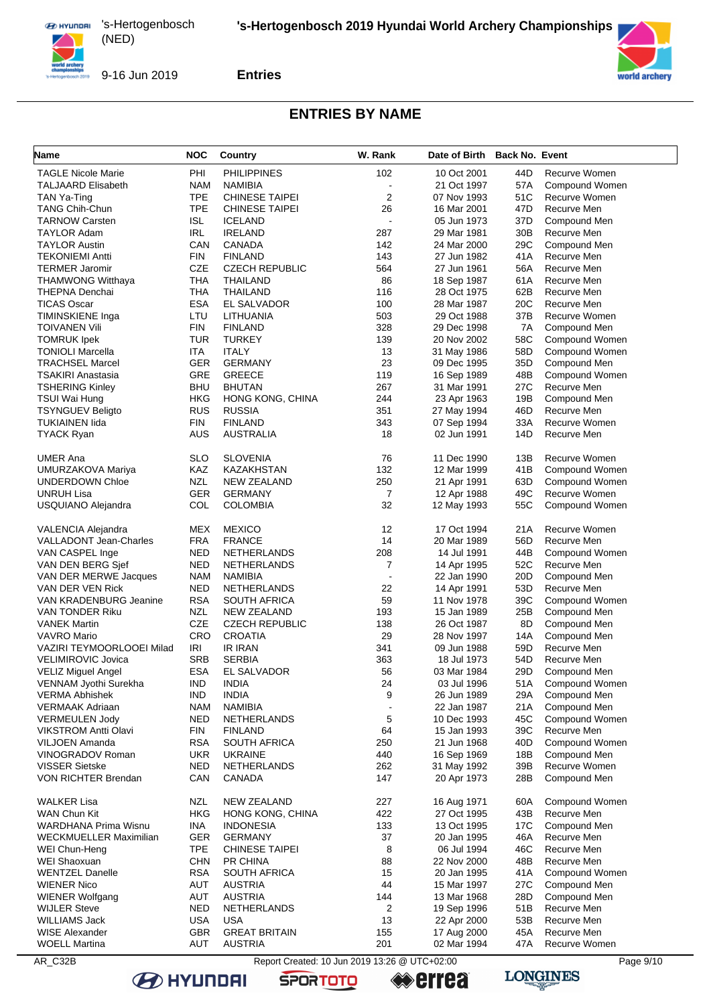

9-16 Jun 2019





## **ENTRIES BY NAME**

| Name                                                   | <b>NOC</b>        | Country                           | W. Rank               | Date of Birth Back No. Event |                        |                             |
|--------------------------------------------------------|-------------------|-----------------------------------|-----------------------|------------------------------|------------------------|-----------------------------|
| <b>TAGLE Nicole Marie</b>                              | PHI               | <b>PHILIPPINES</b>                | 102                   | 10 Oct 2001                  | 44D                    | Recurve Women               |
| <b>TALJAARD Elisabeth</b>                              | <b>NAM</b>        | <b>NAMIBIA</b>                    |                       | 21 Oct 1997                  | 57A                    | Compound Women              |
| TAN Ya-Ting                                            | <b>TPE</b>        | <b>CHINESE TAIPEI</b>             | $\overline{2}$        | 07 Nov 1993                  | 51C                    | Recurve Women               |
| <b>TANG Chih-Chun</b>                                  | <b>TPE</b>        | CHINESE TAIPEI                    | 26                    | 16 Mar 2001                  | 47D                    | Recurve Men                 |
| <b>TARNOW Carsten</b>                                  | ISL               | <b>ICELAND</b>                    |                       | 05 Jun 1973                  | 37D                    | Compound Men                |
| TAYLOR Adam                                            | <b>IRL</b>        | <b>IRELAND</b>                    | 287                   | 29 Mar 1981                  | 30 <sub>B</sub>        | Recurve Men                 |
| <b>TAYLOR Austin</b>                                   | CAN               | CANADA                            | 142                   | 24 Mar 2000                  | 29C                    | Compound Men                |
| <b>TEKONIEMI Antti</b>                                 | FIN               | <b>FINLAND</b>                    | 143                   | 27 Jun 1982                  | 41A                    | Recurve Men                 |
| <b>TERMER Jaromir</b><br><b>THAMWONG Witthaya</b>      | CZE<br>THA        | <b>CZECH REPUBLIC</b><br>THAILAND | 564<br>86             | 27 Jun 1961<br>18 Sep 1987   | 56A<br>61A             | Recurve Men<br>Recurve Men  |
| <b>THEPNA Denchai</b>                                  | <b>THA</b>        | THAILAND                          | 116                   | 28 Oct 1975                  | 62B                    | Recurve Men                 |
| <b>TICAS Oscar</b>                                     | <b>ESA</b>        | EL SALVADOR                       | 100                   | 28 Mar 1987                  | 20C                    | Recurve Men                 |
| TIMINSKIENE Inga                                       | LTU               | LITHUANIA                         | 503                   | 29 Oct 1988                  | 37B                    | Recurve Women               |
| TOIVANEN Vili                                          | FIN               | <b>FINLAND</b>                    | 328                   | 29 Dec 1998                  | 7A                     | Compound Men                |
| <b>TOMRUK Ipek</b>                                     | TUR               | <b>TURKEY</b>                     | 139                   | 20 Nov 2002                  | 58C                    | Compound Women              |
| <b>TONIOLI Marcella</b>                                | ITA               | <b>ITALY</b>                      | 13                    | 31 May 1986                  | 58D                    | Compound Women              |
| <b>TRACHSEL Marcel</b>                                 | <b>GER</b>        | <b>GERMANY</b>                    | 23                    | 09 Dec 1995                  | 35D                    | Compound Men                |
| TSAKIRI Anastasia                                      | GRE               | <b>GREECE</b>                     | 119                   | 16 Sep 1989                  | 48B                    | Compound Women              |
| <b>TSHERING Kinley</b>                                 | <b>BHU</b>        | <b>BHUTAN</b>                     | 267                   | 31 Mar 1991                  | 27C                    | Recurve Men                 |
| TSUI Wai Hung                                          | HKG               | HONG KONG, CHINA                  | 244                   | 23 Apr 1963                  | 19B                    | Compound Men                |
| <b>TSYNGUEV Beligto</b>                                | RUS               | <b>RUSSIA</b>                     | 351                   | 27 May 1994                  | 46D                    | Recurve Men                 |
| TUKIAINEN lida                                         | FIN               | <b>FINLAND</b>                    | 343                   | 07 Sep 1994                  | 33A                    | Recurve Women               |
| <b>TYACK Ryan</b>                                      | <b>AUS</b>        | <b>AUSTRALIA</b>                  | 18                    | 02 Jun 1991                  | 14D                    | Recurve Men                 |
| <b>UMER Ana</b>                                        | SLO               | <b>SLOVENIA</b>                   | 76                    | 11 Dec 1990                  | 13B                    | Recurve Women               |
| UMURZAKOVA Mariya                                      | KAZ               | <b>KAZAKHSTAN</b>                 | 132                   | 12 Mar 1999                  | 41B                    | Compound Women              |
| UNDERDOWN Chloe                                        | NZL               | <b>NEW ZEALAND</b>                | 250                   | 21 Apr 1991                  | 63D                    | Compound Women              |
| <b>UNRUH Lisa</b>                                      | GER               | <b>GERMANY</b>                    | $\overline{7}$        | 12 Apr 1988                  | 49C                    | Recurve Women               |
| USQUIANO Alejandra                                     | COL               | <b>COLOMBIA</b>                   | 32                    | 12 May 1993                  | 55C                    | Compound Women              |
| VALENCIA Alejandra                                     | MEX               | <b>MEXICO</b>                     | 12                    | 17 Oct 1994                  | 21A                    | Recurve Women               |
| <b>VALLADONT Jean-Charles</b>                          | <b>FRA</b>        | <b>FRANCE</b>                     | 14                    | 20 Mar 1989                  | 56D                    | Recurve Men                 |
| VAN CASPEL Inge                                        | NED               | <b>NETHERLANDS</b>                | 208                   | 14 Jul 1991                  | 44B                    | Compound Women              |
| VAN DEN BERG Sjef                                      | NED               | <b>NETHERLANDS</b>                | $\overline{7}$        | 14 Apr 1995                  | 52C                    | Recurve Men                 |
| VAN DER MERWE Jacques                                  | <b>NAM</b>        | NAMIBIA                           |                       | 22 Jan 1990                  | 20D                    | Compound Men                |
| VAN DER VEN Rick                                       | NED               | <b>NETHERLANDS</b>                | 22                    | 14 Apr 1991                  | 53D                    | Recurve Men                 |
| VAN KRADENBURG Jeanine                                 | <b>RSA</b>        | <b>SOUTH AFRICA</b>               | 59                    | 11 Nov 1978                  | 39C                    | Compound Women              |
| VAN TONDER Riku                                        | NZL               | <b>NEW ZEALAND</b>                | 193                   | 15 Jan 1989                  | 25B                    | Compound Men                |
| <b>VANEK Martin</b>                                    | <b>CZE</b>        | <b>CZECH REPUBLIC</b>             | 138                   | 26 Oct 1987                  | 8D                     | Compound Men                |
| VAVRO Mario                                            | CRO               | <b>CROATIA</b>                    | 29                    | 28 Nov 1997                  | 14A                    | Compound Men                |
| VAZIRI TEYMOORLOOEI Milad                              | IRI<br><b>SRB</b> | <b>IR IRAN</b>                    | 341<br>363            | 09 Jun 1988                  | 59 <sub>D</sub><br>54D | Recurve Men                 |
| <b>VELIMIROVIC Jovica</b><br><b>VELIZ Miguel Angel</b> | <b>ESA</b>        | <b>SERBIA</b><br>EL SALVADOR      | 56                    | 18 Jul 1973<br>03 Mar 1984   | 29D                    | Recurve Men<br>Compound Men |
| VENNAM Jyothi Surekha                                  | IND.              | INDIA                             | 24                    | 03 Jul 1996                  | 51 A                   | Compound Women              |
| <b>VERMA Abhishek</b>                                  | <b>IND</b>        | <b>INDIA</b>                      | 9                     | 26 Jun 1989                  | 29A                    | Compound Men                |
| VERMAAK Adriaan                                        | <b>NAM</b>        | NAMIBIA                           |                       | 22 Jan 1987                  | 21A                    | Compound Men                |
| <b>VERMEULEN Jody</b>                                  | NED               | <b>NETHERLANDS</b>                | 5                     | 10 Dec 1993                  | 45C                    | Compound Women              |
| VIKSTROM Antti Olavi                                   | FIN               | <b>FINLAND</b>                    | 64                    | 15 Jan 1993                  | 39C                    | Recurve Men                 |
| VILJOEN Amanda                                         | <b>RSA</b>        | <b>SOUTH AFRICA</b>               | 250                   | 21 Jun 1968                  | 40 <sub>D</sub>        | Compound Women              |
| VINOGRADOV Roman                                       | <b>UKR</b>        | <b>UKRAINE</b>                    | 440                   | 16 Sep 1969                  | 18B                    | Compound Men                |
| <b>VISSER Sietske</b>                                  | NED               | NETHERLANDS                       | 262                   | 31 May 1992                  | 39B                    | Recurve Women               |
| VON RICHTER Brendan                                    | CAN               | CANADA                            | 147                   | 20 Apr 1973                  | 28B                    | Compound Men                |
| <b>WALKER Lisa</b>                                     | NZL               | <b>NEW ZEALAND</b>                | 227                   | 16 Aug 1971                  | 60A                    | Compound Women              |
| WAN Chun Kit                                           | HKG               | HONG KONG, CHINA                  | 422                   | 27 Oct 1995                  | 43B                    | Recurve Men                 |
| WARDHANA Prima Wisnu                                   | INA               | INDONESIA                         | 133                   | 13 Oct 1995                  | 17 <sub>C</sub>        | Compound Men                |
| WECKMUELLER Maximilian                                 | GER               | <b>GERMANY</b>                    | 37                    | 20 Jan 1995                  | 46A                    | Recurve Men                 |
| WEI Chun-Heng                                          | <b>TPE</b>        | <b>CHINESE TAIPEI</b>             | 8                     | 06 Jul 1994                  | 46C                    | Recurve Men                 |
| WEI Shaoxuan                                           | <b>CHN</b>        | <b>PR CHINA</b>                   | 88                    | 22 Nov 2000                  | 48B                    | Recurve Men                 |
| <b>WENTZEL Danelle</b>                                 | <b>RSA</b>        | <b>SOUTH AFRICA</b>               | 15                    | 20 Jan 1995                  | 41A                    | Compound Women              |
| <b>WIENER Nico</b>                                     | AUT               | <b>AUSTRIA</b>                    | 44                    | 15 Mar 1997                  | 27C                    | Compound Men                |
| <b>WIENER Wolfgang</b><br><b>WIJLER Steve</b>          | AUT<br><b>NED</b> | <b>AUSTRIA</b><br>NETHERLANDS     | 144<br>$\overline{c}$ | 13 Mar 1968<br>19 Sep 1996   | 28D<br>51B             | Compound Men<br>Recurve Men |
| WILLIAMS Jack                                          | <b>USA</b>        | <b>USA</b>                        | 13                    | 22 Apr 2000                  | 53B                    | Recurve Men                 |
| WISE Alexander                                         | <b>GBR</b>        | <b>GREAT BRITAIN</b>              | 155                   | 17 Aug 2000                  | 45A                    | Recurve Men                 |
| <b>WOELL Martina</b>                                   | AUT               | <b>AUSTRIA</b>                    | 201                   | 02 Mar 1994                  | 47A                    | Recurve Women               |
|                                                        |                   |                                   |                       |                              |                        |                             |

AR\_C32B Report Created: 10 Jun 2019 13:26 @ UTC+02:00 Page 9/10 Page 9/10

**SPORTOTO**